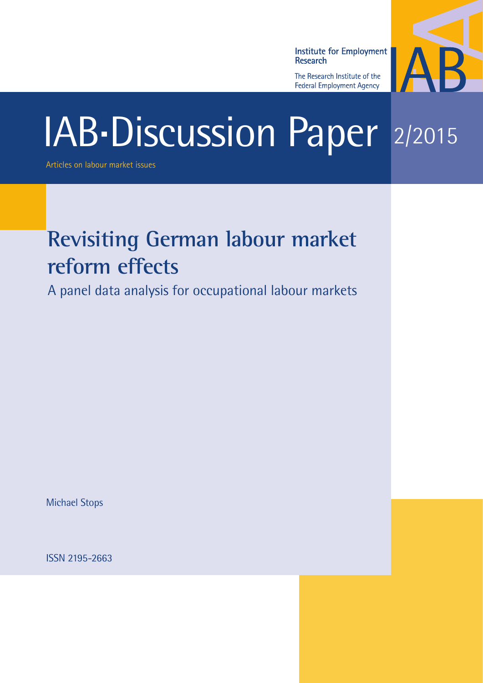**Institute for Employment** Research

The Research Institute of the **Federal Employment Agency** 



# IAB-Discussion Paper 2/2015

Articles on labour market issues

# **Revisiting German labour market reform effects**

A panel data analysis for occupational labour markets

Michael Stops

ISSN 2195-2663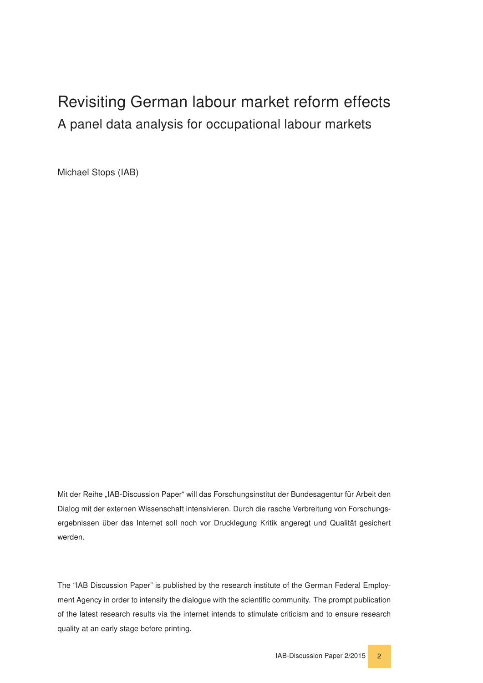# Revisiting German labour market reform effects A panel data analysis for occupational labour markets

Michael Stops (IAB)

Mit der Reihe "IAB-Discussion Paper" will das Forschungsinstitut der Bundesagentur für Arbeit den Dialog mit der externen Wissenschaft intensivieren. Durch die rasche Verbreitung von Forschungsergebnissen über das Internet soll noch vor Drucklegung Kritik angeregt und Qualität gesichert werden.

The "IAB Discussion Paper" is published by the research institute of the German Federal Employment Agency in order to intensify the dialogue with the scientific community. The prompt publication of the latest research results via the internet intends to stimulate criticism and to ensure research quality at an early stage before printing.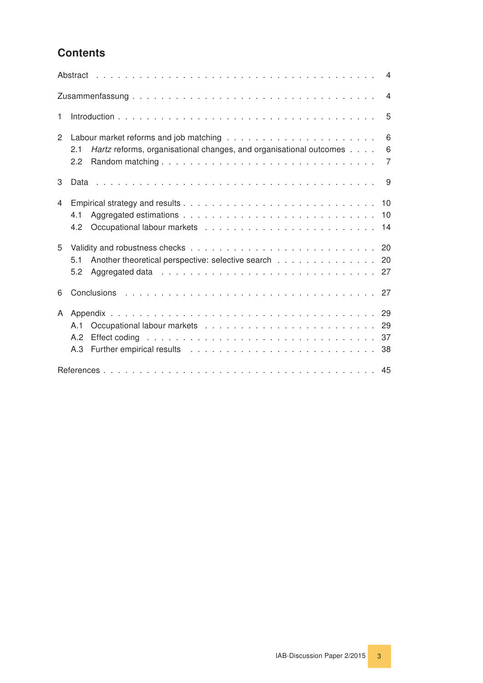# **Contents**

|                |                                                                                                                                                                                                                                                                                                                                                                       | $\overline{4}$           |
|----------------|-----------------------------------------------------------------------------------------------------------------------------------------------------------------------------------------------------------------------------------------------------------------------------------------------------------------------------------------------------------------------|--------------------------|
|                |                                                                                                                                                                                                                                                                                                                                                                       | $\overline{4}$           |
| $\mathbf{1}$   |                                                                                                                                                                                                                                                                                                                                                                       | 5                        |
| $\overline{2}$ | Hartz reforms, organisational changes, and organisational outcomes<br>2.1<br>2.2                                                                                                                                                                                                                                                                                      | 6<br>6<br>$\overline{7}$ |
| 3              |                                                                                                                                                                                                                                                                                                                                                                       | 9                        |
| 4              | 4.1<br>4.2                                                                                                                                                                                                                                                                                                                                                            |                          |
| 5              | Another theoretical perspective: selective search 20<br>5.1<br>5.2                                                                                                                                                                                                                                                                                                    |                          |
| 6              |                                                                                                                                                                                                                                                                                                                                                                       |                          |
| A              | A.1<br>Effect coding entertainment and the contract of the contract of the contract of the contract of the contract of the contract of the contract of the contract of the contract of the contract of the contract of the contract o<br>A.2<br>Further empirical results enterprised by the contract of the contract of the contract of the contract of the c<br>A.3 |                          |
|                |                                                                                                                                                                                                                                                                                                                                                                       |                          |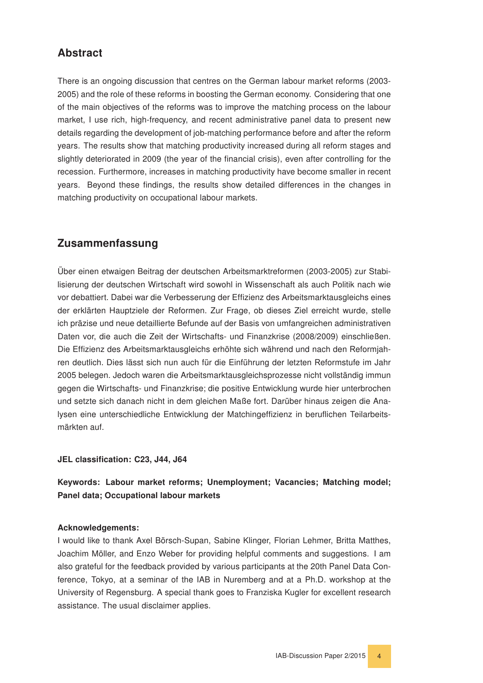# <span id="page-3-0"></span>Abstract

There is an ongoing discussion that centres on the German labour market reforms (2003- 2005) and the role of these reforms in boosting the German economy. Considering that one of the main objectives of the reforms was to improve the matching process on the labour market, I use rich, high-frequency, and recent administrative panel data to present new details regarding the development of job-matching performance before and after the reform years. The results show that matching productivity increased during all reform stages and slightly deteriorated in 2009 (the year of the financial crisis), even after controlling for the recession. Furthermore, increases in matching productivity have become smaller in recent years. Beyond these findings, the results show detailed differences in the changes in matching productivity on occupational labour markets.

# <span id="page-3-1"></span>Zusammenfassung

Über einen etwaigen Beitrag der deutschen Arbeitsmarktreformen (2003-2005) zur Stabilisierung der deutschen Wirtschaft wird sowohl in Wissenschaft als auch Politik nach wie vor debattiert. Dabei war die Verbesserung der Effizienz des Arbeitsmarktausgleichs eines der erklärten Hauptziele der Reformen. Zur Frage, ob dieses Ziel erreicht wurde, stelle ich präzise und neue detaillierte Befunde auf der Basis von umfangreichen administrativen Daten vor, die auch die Zeit der Wirtschafts- und Finanzkrise (2008/2009) einschließen. Die Effizienz des Arbeitsmarktausgleichs erhöhte sich während und nach den Reformjahren deutlich. Dies lässt sich nun auch für die Einführung der letzten Reformstufe im Jahr 2005 belegen. Jedoch waren die Arbeitsmarktausgleichsprozesse nicht vollständig immun gegen die Wirtschafts- und Finanzkrise; die positive Entwicklung wurde hier unterbrochen und setzte sich danach nicht in dem gleichen Maße fort. Darüber hinaus zeigen die Analysen eine unterschiedliche Entwicklung der Matchingeffizienz in beruflichen Teilarbeitsmärkten auf.

#### JEL classification: C23, J44, J64

#### Keywords: Labour market reforms; Unemployment; Vacancies; Matching model; Panel data; Occupational labour markets

#### Acknowledgements:

I would like to thank Axel Börsch-Supan, Sabine Klinger, Florian Lehmer, Britta Matthes, Joachim Möller, and Enzo Weber for providing helpful comments and suggestions. I am also grateful for the feedback provided by various participants at the 20th Panel Data Conference, Tokyo, at a seminar of the IAB in Nuremberg and at a Ph.D. workshop at the University of Regensburg. A special thank goes to Franziska Kugler for excellent research assistance. The usual disclaimer applies.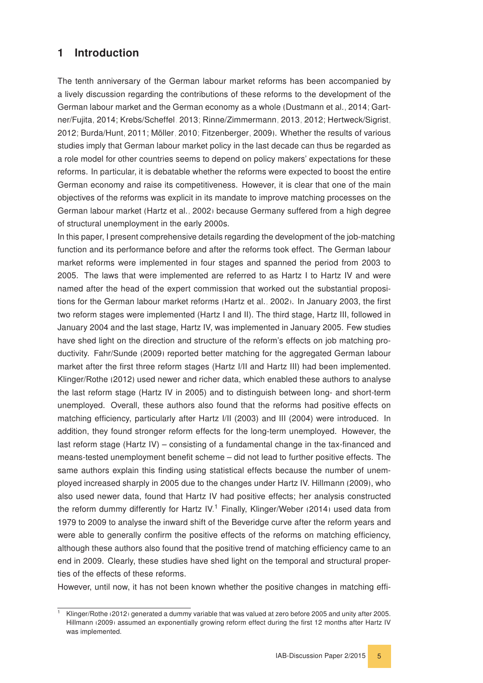## <span id="page-4-0"></span>1 Introduction

The tenth anniversary of the German labour market reforms has been accompanied by a lively discussion regarding the contributions of these reforms to the development of the German labour market and the German economy as a whole [\(Dustmann et al., 2014;](#page-44-0) [Gart](#page-45-0)[ner/Fujita, 2014;](#page-45-0) [Krebs/Scheffel, 2013;](#page-45-1) [Rinne/Zimmermann, 2013,](#page-46-0) [2012;](#page-46-1) [Hertweck/Sigrist,](#page-45-2) [2012;](#page-45-2) [Burda/Hunt, 2011;](#page-44-1) [Möller, 2010;](#page-45-3) [Fitzenberger, 2009\)](#page-44-2). Whether the results of various studies imply that German labour market policy in the last decade can thus be regarded as a role model for other countries seems to depend on policy makers' expectations for these reforms. In particular, it is debatable whether the reforms were expected to boost the entire German economy and raise its competitiveness. However, it is clear that one of the main objectives of the reforms was explicit in its mandate to improve matching processes on the German labour market [\(Hartz et al., 2002\)](#page-45-4) because Germany suffered from a high degree of structural unemployment in the early 2000s.

In this paper, I present comprehensive details regarding the development of the job-matching function and its performance before and after the reforms took effect. The German labour market reforms were implemented in four stages and spanned the period from 2003 to 2005. The laws that were implemented are referred to as Hartz I to Hartz IV and were named after the head of the expert commission that worked out the substantial propositions for the German labour market reforms [\(Hartz et al., 2002\)](#page-45-4). In January 2003, the first two reform stages were implemented (Hartz I and II). The third stage, Hartz III, followed in January 2004 and the last stage, Hartz IV, was implemented in January 2005. Few studies have shed light on the direction and structure of the reform's effects on job matching productivity. [Fahr/Sunde](#page-44-3) [\(2009\)](#page-44-3) reported better matching for the aggregated German labour market after the first three reform stages (Hartz I/II and Hartz III) had been implemented. [Klinger/Rothe](#page-45-5) [\(2012\)](#page-45-5) used newer and richer data, which enabled these authors to analyse the last reform stage (Hartz IV in 2005) and to distinguish between long- and short-term unemployed. Overall, these authors also found that the reforms had positive effects on matching efficiency, particularly after Hartz I/II (2003) and III (2004) were introduced. In addition, they found stronger reform effects for the long-term unemployed. However, the last reform stage (Hartz IV) – consisting of a fundamental change in the tax-financed and means-tested unemployment benefit scheme – did not lead to further positive effects. The same authors explain this finding using statistical effects because the number of unemployed increased sharply in 2005 due to the changes under Hartz IV. [Hillmann](#page-45-6) [\(2009\)](#page-45-6), who also used newer data, found that Hartz IV had positive effects; her analysis constructed the reform dummy differently for Hartz IV.<sup>[1](#page-4-1)</sup> Finally, [Klinger/Weber](#page-45-7) [\(2014\)](#page-45-7) used data from 1979 to 2009 to analyse the inward shift of the Beveridge curve after the reform years and were able to generally confirm the positive effects of the reforms on matching efficiency, although these authors also found that the positive trend of matching efficiency came to an end in 2009. Clearly, these studies have shed light on the temporal and structural properties of the effects of these reforms.

However, until now, it has not been known whether the positive changes in matching effi-

<span id="page-4-1"></span><sup>1</sup> [Klinger/Rothe](#page-45-5) [\(2012\)](#page-45-5) generated a dummy variable that was valued at zero before 2005 and unity after 2005. [Hillmann](#page-45-6) [\(2009\)](#page-45-6) assumed an exponentially growing reform effect during the first 12 months after Hartz IV was implemented.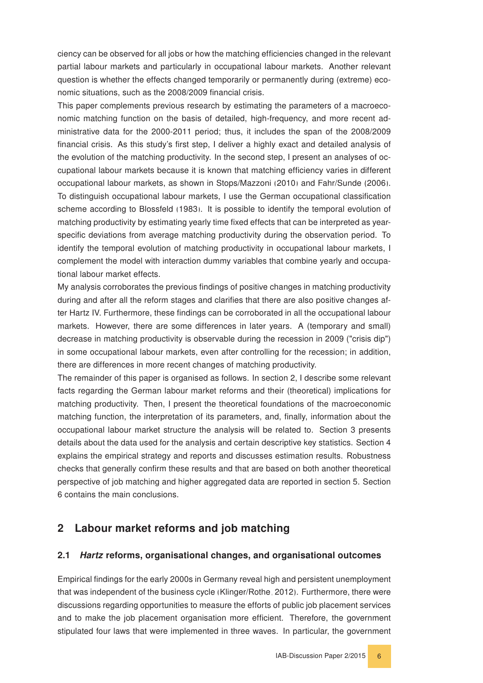ciency can be observed for all jobs or how the matching efficiencies changed in the relevant partial labour markets and particularly in occupational labour markets. Another relevant question is whether the effects changed temporarily or permanently during (extreme) economic situations, such as the 2008/2009 financial crisis.

This paper complements previous research by estimating the parameters of a macroeconomic matching function on the basis of detailed, high-frequency, and more recent administrative data for the 2000-2011 period; thus, it includes the span of the 2008/2009 financial crisis. As this study's first step, I deliver a highly exact and detailed analysis of the evolution of the matching productivity. In the second step, I present an analyses of occupational labour markets because it is known that matching efficiency varies in different occupational labour markets, as shown in [Stops/Mazzoni](#page-46-2) [\(2010\)](#page-46-2) and [Fahr/Sunde](#page-44-4) [\(2006\)](#page-44-4). To distinguish occupational labour markets, I use the German occupational classification scheme according to [Blossfeld](#page-44-5) [\(1983\)](#page-44-5). It is possible to identify the temporal evolution of matching productivity by estimating yearly time fixed effects that can be interpreted as yearspecific deviations from average matching productivity during the observation period. To identify the temporal evolution of matching productivity in occupational labour markets, I complement the model with interaction dummy variables that combine yearly and occupational labour market effects.

My analysis corroborates the previous findings of positive changes in matching productivity during and after all the reform stages and clarifies that there are also positive changes after Hartz IV. Furthermore, these findings can be corroborated in all the occupational labour markets. However, there are some differences in later years. A (temporary and small) decrease in matching productivity is observable during the recession in 2009 ("crisis dip") in some occupational labour markets, even after controlling for the recession; in addition, there are differences in more recent changes of matching productivity.

The remainder of this paper is organised as follows. In section 2, I describe some relevant facts regarding the German labour market reforms and their (theoretical) implications for matching productivity. Then, I present the theoretical foundations of the macroeconomic matching function, the interpretation of its parameters, and, finally, information about the occupational labour market structure the analysis will be related to. Section 3 presents details about the data used for the analysis and certain descriptive key statistics. Section 4 explains the empirical strategy and reports and discusses estimation results. Robustness checks that generally confirm these results and that are based on both another theoretical perspective of job matching and higher aggregated data are reported in section 5. Section 6 contains the main conclusions.

#### <span id="page-5-0"></span>2 Labour market reforms and job matching

#### <span id="page-5-1"></span>2.1 Hartz reforms, organisational changes, and organisational outcomes

Empirical findings for the early 2000s in Germany reveal high and persistent unemployment that was independent of the business cycle [\(Klinger/Rothe, 2012\)](#page-45-5). Furthermore, there were discussions regarding opportunities to measure the efforts of public job placement services and to make the job placement organisation more efficient. Therefore, the government stipulated four laws that were implemented in three waves. In particular, the government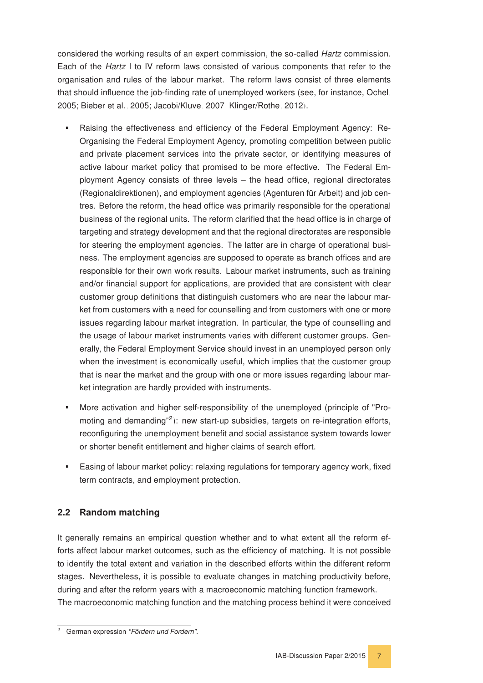considered the working results of an expert commission, the so-called Hartz commission. Each of the Hartz I to IV reform laws consisted of various components that refer to the organisation and rules of the labour market. The reform laws consist of three elements that should influence the job-finding rate of unemployed workers (see, for instance, [Ochel,](#page-45-8) [2005;](#page-45-8) [Bieber et al., 2005;](#page-44-6) [Jacobi/Kluve, 2007;](#page-45-9) [Klinger/Rothe, 2012\)](#page-45-5).

- Raising the effectiveness and efficiency of the Federal Employment Agency: Re-Organising the Federal Employment Agency, promoting competition between public and private placement services into the private sector, or identifying measures of active labour market policy that promised to be more effective. The Federal Employment Agency consists of three levels – the head office, regional directorates (Regionaldirektionen), and employment agencies (Agenturen für Arbeit) and job centres. Before the reform, the head office was primarily responsible for the operational business of the regional units. The reform clarified that the head office is in charge of targeting and strategy development and that the regional directorates are responsible for steering the employment agencies. The latter are in charge of operational business. The employment agencies are supposed to operate as branch offices and are responsible for their own work results. Labour market instruments, such as training and/or financial support for applications, are provided that are consistent with clear customer group definitions that distinguish customers who are near the labour market from customers with a need for counselling and from customers with one or more issues regarding labour market integration. In particular, the type of counselling and the usage of labour market instruments varies with different customer groups. Generally, the Federal Employment Service should invest in an unemployed person only when the investment is economically useful, which implies that the customer group that is near the market and the group with one or more issues regarding labour market integration are hardly provided with instruments.
- More activation and higher self-responsibility of the unemployed (principle of "Pro-moting and demanding"<sup>[2](#page-6-1)</sup>): new start-up subsidies, targets on re-integration efforts, reconfiguring the unemployment benefit and social assistance system towards lower or shorter benefit entitlement and higher claims of search effort.
- Easing of labour market policy: relaxing regulations for temporary agency work, fixed term contracts, and employment protection.

#### <span id="page-6-0"></span>2.2 Random matching

It generally remains an empirical question whether and to what extent all the reform efforts affect labour market outcomes, such as the efficiency of matching. It is not possible to identify the total extent and variation in the described efforts within the different reform stages. Nevertheless, it is possible to evaluate changes in matching productivity before, during and after the reform years with a macroeconomic matching function framework. The macroeconomic matching function and the matching process behind it were conceived

<span id="page-6-1"></span><sup>&</sup>lt;sup>2</sup> German expression "Fördern und Fordern".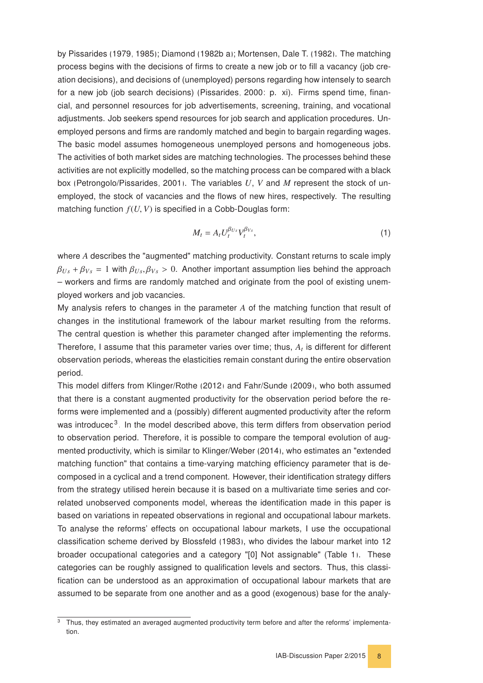by [Pissarides](#page-46-3) [\(1979,](#page-46-3) [1985\)](#page-46-4); [Diamond](#page-44-7) [\(1982b,](#page-44-7)[a\)](#page-44-8); [Mortensen, Dale T.](#page-45-10) [\(1982\)](#page-45-10). The matching process begins with the decisions of firms to create a new job or to fill a vacancy (job creation decisions), and decisions of (unemployed) persons regarding how intensely to search for a new job (job search decisions) [\(Pissarides, 2000:](#page-45-11) p. xi). Firms spend time, financial, and personnel resources for job advertisements, screening, training, and vocational adjustments. Job seekers spend resources for job search and application procedures. Unemployed persons and firms are randomly matched and begin to bargain regarding wages. The basic model assumes homogeneous unemployed persons and homogeneous jobs. The activities of both market sides are matching technologies. The processes behind these activities are not explicitly modelled, so the matching process can be compared with a black box [\(Petrongolo/Pissarides, 2001\)](#page-45-12). The variables *U*, *V* and *M* represent the stock of unemployed, the stock of vacancies and the flows of new hires, respectively. The resulting matching function *<sup>f</sup>*(*U*, *<sup>V</sup>*) is specified in a Cobb-Douglas form:

<span id="page-7-1"></span>
$$
M_t = A_t U_t^{\beta_{Us}} V_t^{\beta_{Vs}}, \qquad (1)
$$

where *A* describes the "augmented" matching productivity. Constant returns to scale imply  $\beta_{Us}$  +  $\beta_{Vs}$  = 1 with  $\beta_{Us}$ ,  $\beta_{Vs}$  > 0. Another important assumption lies behind the approach – workers and firms are randomly matched and originate from the pool of existing unemployed workers and job vacancies.

My analysis refers to changes in the parameter *A* of the matching function that result of changes in the institutional framework of the labour market resulting from the reforms. The central question is whether this parameter changed after implementing the reforms. Therefore, I assume that this parameter varies over time; thus, *A<sup>t</sup>* is different for different observation periods, whereas the elasticities remain constant during the entire observation period.

This model differs from [Klinger/Rothe](#page-45-5) [\(2012\)](#page-45-5) and [Fahr/Sunde](#page-44-3) [\(2009\)](#page-44-3), who both assumed that there is a constant augmented productivity for the observation period before the reforms were implemented and a (possibly) different augmented productivity after the reform was introduced<sup>[3](#page-7-0)</sup>. In the model described above, this term differs from observation period to observation period. Therefore, it is possible to compare the temporal evolution of augmented productivity, which is similar to [Klinger/Weber](#page-45-7) [\(2014\)](#page-45-7), who estimates an "extended matching function" that contains a time-varying matching efficiency parameter that is decomposed in a cyclical and a trend component. However, their identification strategy differs from the strategy utilised herein because it is based on a multivariate time series and correlated unobserved components model, whereas the identification made in this paper is based on variations in repeated observations in regional and occupational labour markets. To analyse the reforms' effects on occupational labour markets, I use the occupational classification scheme derived by [Blossfeld](#page-44-5) [\(1983\)](#page-44-5), who divides the labour market into 12 broader occupational categories and a category "[0] Not assignable" (Table [1\)](#page-8-1). These categories can be roughly assigned to qualification levels and sectors. Thus, this classification can be understood as an approximation of occupational labour markets that are assumed to be separate from one another and as a good (exogenous) base for the analy-

<span id="page-7-0"></span>Thus, they estimated an averaged augmented productivity term before and after the reforms' implementation.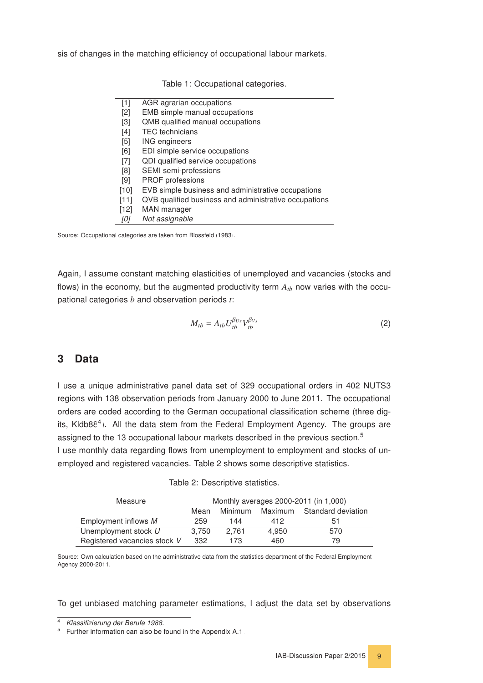<span id="page-8-1"></span>sis of changes in the matching efficiency of occupational labour markets.

| $[1]$  | AGR agrarian occupations                              |
|--------|-------------------------------------------------------|
| [2]    | EMB simple manual occupations                         |
| $[3]$  | QMB qualified manual occupations                      |
| $[4]$  | <b>TEC</b> technicians                                |
| [5]    | <b>ING engineers</b>                                  |
| [6]    | EDI simple service occupations                        |
| $[7]$  | QDI qualified service occupations                     |
| [8]    | SEMI semi-professions                                 |
| [9]    | <b>PROF</b> professions                               |
| $[10]$ | EVB simple business and administrative occupations    |
| [11]   | QVB qualified business and administrative occupations |
| $[12]$ | MAN manager                                           |
| [0]    | Not assignable                                        |

Table 1: Occupational categories.

Source: Occupational categories are taken from [Blossfeld](#page-44-5) [\(1983\)](#page-44-5).

Again, I assume constant matching elasticities of unemployed and vacancies (stocks and flows) in the economy, but the augmented productivity term  $A_{tb}$  now varies with the occupational categories *b* and observation periods *t*:

<span id="page-8-5"></span>
$$
M_{tb} = A_{tb} U_{tb}^{\beta_{Us}} V_{tb}^{\beta_{Vs}} \tag{2}
$$

#### <span id="page-8-0"></span>3 Data

I use a unique administrative panel data set of 329 occupational orders in 402 NUTS3 regions with 138 observation periods from January 2000 to June 2011. The occupational orders are coded according to the German occupational classification scheme (three dig-its, Kldb88<sup>[4](#page-8-2)</sup>). All the data stem from the Federal Employment Agency. The groups are assigned to the 13 occupational labour markets described in the previous section.<sup>[5](#page-8-3)</sup>

I use monthly data regarding flows from unemployment to employment and stocks of unemployed and registered vacancies. Table [2](#page-8-4) shows some descriptive statistics.

<span id="page-8-4"></span>

| Measure                      | Monthly averages 2000-2011 (in 1,000) |         |       |                            |
|------------------------------|---------------------------------------|---------|-------|----------------------------|
|                              | Mean                                  | Minimum |       | Maximum Standard deviation |
| Employment inflows M         | 259                                   | 144     | 412   | 51                         |
| Unemployment stock U         | 3.750                                 | 2.761   | 4.950 | 570                        |
| Registered vacancies stock V | 332                                   | 173     | 460   | 79                         |

| Table 2: Descriptive statistics. |  |
|----------------------------------|--|
|----------------------------------|--|

Source: Own calculation based on the administrative data from the statistics department of the Federal Employment Agency 2000-2011.

To get unbiased matching parameter estimations, I adjust the data set by observations

<span id="page-8-2"></span><sup>4</sup> Klassifizierung der Berufe 1988.

<span id="page-8-3"></span><sup>&</sup>lt;sup>5</sup> Further information can also be found in the Appendix [A.1.](#page-28-1)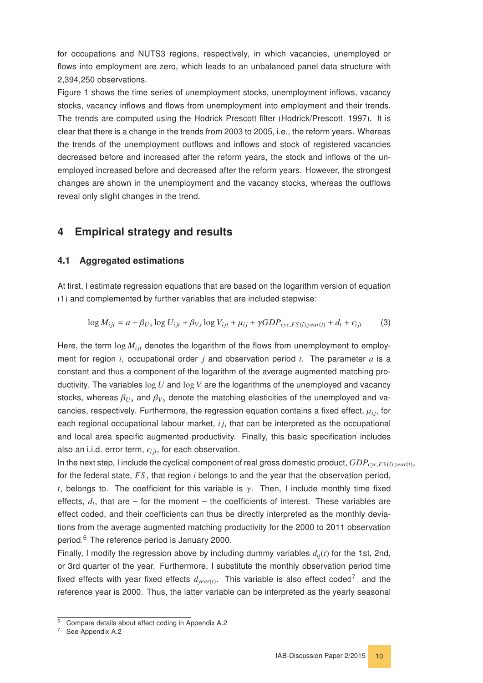for occupations and NUTS3 regions, respectively, in which vacancies, unemployed or flows into employment are zero, which leads to an unbalanced panel data structure with 2,394,250 observations.

Figure [1](#page-10-0) shows the time series of unemployment stocks, unemployment inflows, vacancy stocks, vacancy inflows and flows from unemployment into employment and their trends. The trends are computed using the Hodrick Prescott filter [\(Hodrick/Prescott, 1997\)](#page-45-13). It is clear that there is a change in the trends from 2003 to 2005, i.e., the reform years. Whereas the trends of the unemployment outflows and inflows and stock of registered vacancies decreased before and increased after the reform years, the stock and inflows of the unemployed increased before and decreased after the reform years. However, the strongest changes are shown in the unemployment and the vacancy stocks, whereas the outflows reveal only slight changes in the trend.

## <span id="page-9-0"></span>4 Empirical strategy and results

#### <span id="page-9-1"></span>4.1 Aggregated estimations

At first, I estimate regression equations that are based on the logarithm version of equation [\(1\)](#page-7-1) and complemented by further variables that are included stepwise:

<span id="page-9-4"></span>
$$
\log M_{ijt} = a + \beta_{Us} \log U_{ijt} + \beta_{Vs} \log V_{ijt} + \mu_{ij} + \gamma GDP_{cyc,FS(i),year(t)} + d_t + \epsilon_{ijt}
$$
 (3)

Here, the term  $\log M_{ijt}$  denotes the logarithm of the flows from unemployment to employment for region *i*, occupational order *j* and observation period *t*. The parameter *a* is a constant and thus a component of the logarithm of the average augmented matching productivity. The variables log *U* and log *V* are the logarithms of the unemployed and vacancy stocks, whereas <sup>β</sup>*U s* and <sup>β</sup>*V s* denote the matching elasticities of the unemployed and vacancies, respectively. Furthermore, the regression equation contains a fixed effect,  $\mu_{ij}$ , for each regional occupational labour market, *i j*, that can be interpreted as the occupational and local area specific augmented productivity. Finally, this basic specification includes also an i.i.d. error term,  $\epsilon_{i it}$ , for each observation.

In the next step, I include the cyclical component of real gross domestic product, *GDPcyc*,*FS* (*i*),*year*(*t*) , for the federal state, *FS* , that region *i* belongs to and the year that the observation period, *t*, belongs to. The coefficient for this variable is  $\gamma$ . Then, I include monthly time fixed effects,  $d_t$ , that are – for the moment – the coefficients of interest. These variables are effect coded, and their coefficients can thus be directly interpreted as the monthly deviations from the average augmented matching productivity for the 2000 to 2011 observation period.[6](#page-9-2) The reference period is January 2000.

Finally, I modify the regression above by including dummy variables  $d_q(t)$  for the 1st, 2nd, or 3rd quarter of the year. Furthermore, I substitute the monthly observation period time fixed effects with year fixed effects  $d_{year(t)}$ . This variable is also effect coded<sup>[7](#page-9-3)</sup>, and the reference year is 2000. Thus, the latter variable can be interpreted as the yearly seasonal

<span id="page-9-2"></span><sup>&</sup>lt;sup>6</sup> Compare details about effect coding in Appendix [A.2.](#page-36-0)

<span id="page-9-3"></span><sup>&</sup>lt;sup>7</sup> See Appendix [A.2.](#page-36-0)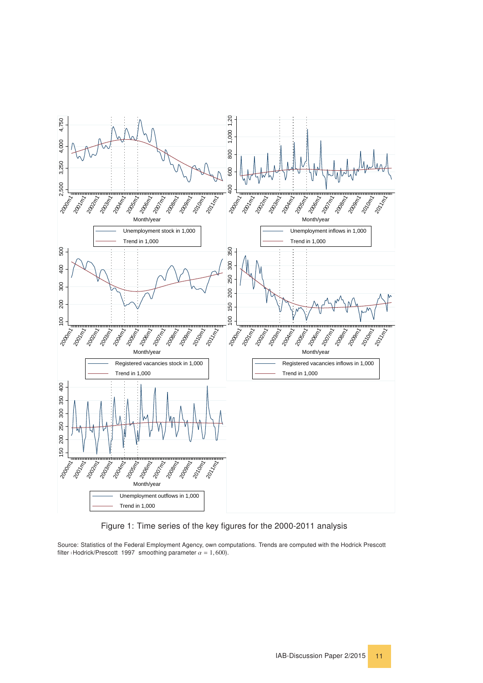<span id="page-10-0"></span>

Figure 1: Time series of the key figures for the 2000-2011 analysis

Source: Statistics of the Federal Employment Agency, own computations. Trends are computed with the Hodrick Prescott filter [\(Hodrick/Prescott, 1997:](#page-45-13) smoothing parameter  $\alpha = 1,600$ ).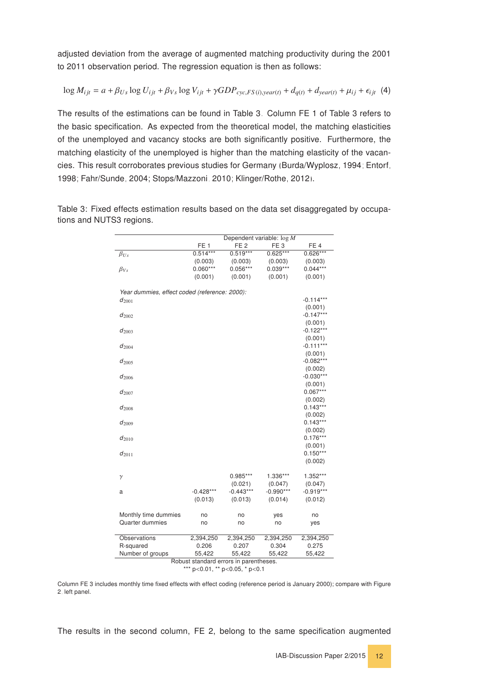adjusted deviation from the average of augmented matching productivity during the 2001 to 2011 observation period. The regression equation is then as follows:

<span id="page-11-1"></span>
$$
\log M_{ijt} = a + \beta_{Us} \log U_{ijt} + \beta_{Vs} \log V_{ijt} + \gamma GDP_{cyc,FS(i),year(t)} + d_{q(t)} + d_{year(t)} + \mu_{ij} + \epsilon_{ijt} \tag{4}
$$

The results of the estimations can be found in Table [3.](#page-11-0) Column FE 1 of Table [3](#page-11-0) refers to the basic specification. As expected from the theoretical model, the matching elasticities of the unemployed and vacancy stocks are both significantly positive. Furthermore, the matching elasticity of the unemployed is higher than the matching elasticity of the vacancies. This result corroborates previous studies for Germany [\(Burda/Wyplosz, 1994;](#page-44-9) [Entorf,](#page-44-10) [1998;](#page-44-10) [Fahr/Sunde, 2004;](#page-44-11) [Stops/Mazzoni, 2010;](#page-46-2) [Klinger/Rothe, 2012\)](#page-45-5).

|                                               |                 |                                        | Dependent variable: $\log M$ |                       |
|-----------------------------------------------|-----------------|----------------------------------------|------------------------------|-----------------------|
|                                               | FE <sub>1</sub> | FE <sub>2</sub>                        | FE <sub>3</sub>              | FE <sub>4</sub>       |
| $\beta_{Us}$                                  | $0.514***$      | $0.519***$                             | $0.625***$                   | $0.626***$            |
|                                               | (0.003)         | (0.003)                                | (0.003)                      | (0.003)               |
| $\beta_{Vs}$                                  | $0.060***$      | $0.056***$                             | $0.039***$                   | $0.044***$            |
|                                               | (0.001)         | (0.001)                                | (0.001)                      | (0.001)               |
|                                               |                 |                                        |                              |                       |
| Year dummies, effect coded (reference: 2000): |                 |                                        |                              |                       |
| $d_{2001}$                                    |                 |                                        |                              | $-0.114***$           |
|                                               |                 |                                        |                              | (0.001)               |
| $d_{2002}$                                    |                 |                                        |                              | $-0.147***$           |
|                                               |                 |                                        |                              | (0.001)               |
| $d_{2003}$                                    |                 |                                        |                              | $-0.122***$           |
|                                               |                 |                                        |                              | (0.001)               |
| $d_{2004}$                                    |                 |                                        |                              | $-0.111***$           |
|                                               |                 |                                        |                              | (0.001)               |
| $d_{2005}$                                    |                 |                                        |                              | $-0.082***$           |
|                                               |                 |                                        |                              | (0.002)               |
| $d_{2006}$                                    |                 |                                        |                              | $-0.030***$           |
|                                               |                 |                                        |                              | (0.001)               |
| $d_{2007}$                                    |                 |                                        |                              | $0.067***$            |
|                                               |                 |                                        |                              | (0.002)               |
| $d_{2008}$                                    |                 |                                        |                              | $0.143***$            |
|                                               |                 |                                        |                              | (0.002)               |
| $d_{2009}$                                    |                 |                                        |                              | $0.143***$            |
|                                               |                 |                                        |                              |                       |
|                                               |                 |                                        |                              | (0.002)<br>$0.176***$ |
| $d_{2010}$                                    |                 |                                        |                              |                       |
|                                               |                 |                                        |                              | (0.001)<br>$0.150***$ |
| $d_{2011}$                                    |                 |                                        |                              |                       |
|                                               |                 |                                        |                              | (0.002)               |
|                                               |                 |                                        |                              |                       |
| $\gamma$                                      |                 | $0.985***$                             | 1.336***                     | 1.352***              |
|                                               |                 | (0.021)                                | (0.047)                      | (0.047)               |
| a                                             | $-0.428***$     | $-0.443***$                            | $-0.990***$                  | $-0.919***$           |
|                                               | (0.013)         | (0.013)                                | (0.014)                      | (0.012)               |
|                                               |                 |                                        |                              |                       |
| Monthly time dummies                          | no              | no                                     | yes                          | no                    |
| Quarter dummies                               | no              | no                                     | no                           | yes                   |
|                                               |                 |                                        |                              |                       |
| Observations                                  | 2,394,250       | 2,394,250                              | 2,394,250                    | 2,394,250             |
| R-squared                                     | 0.206           | 0.207                                  | 0.304                        | 0.275                 |
| Number of groups                              | 55,422          | 55,422                                 | 55,422                       | 55,422                |
|                                               |                 | Robust standard errors in parentheses. |                              |                       |
|                                               |                 | *** p<0.01, ** p<0.05, * p<0.1         |                              |                       |

<span id="page-11-0"></span>Table 3: Fixed effects estimation results based on the data set disaggregated by occupations and NUTS3 regions.

Column FE 3 includes monthly time fixed effects with effect coding (reference period is January 2000); compare with Figure [2,](#page-12-0) left panel.

The results in the second column, FE 2, belong to the same specification augmented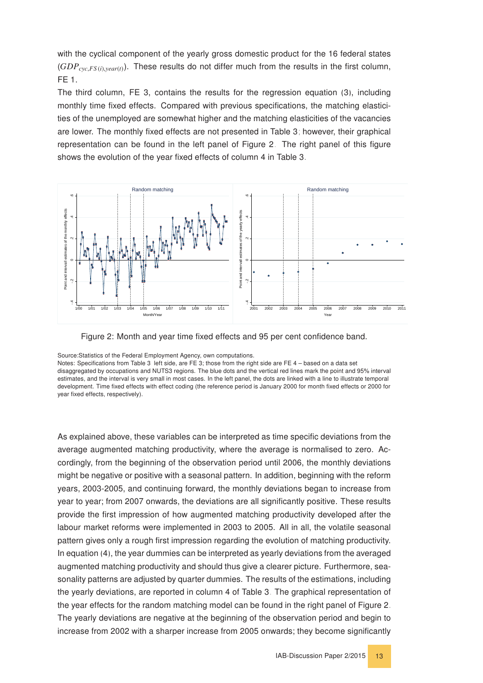with the cyclical component of the yearly gross domestic product for the 16 federal states (*GDPcyc*,*FS* (*i*),*year*(*t*)). These results do not differ much from the results in the first column, FE 1.

The third column, FE 3, contains the results for the regression equation [\(3\)](#page-9-4), including monthly time fixed effects. Compared with previous specifications, the matching elasticities of the unemployed are somewhat higher and the matching elasticities of the vacancies are lower. The monthly fixed effects are not presented in Table [3;](#page-11-0) however, their graphical representation can be found in the left panel of Figure [2.](#page-12-0) The right panel of this figure shows the evolution of the year fixed effects of column 4 in Table [3.](#page-11-0)

<span id="page-12-0"></span>



Source:Statistics of the Federal Employment Agency, own computations.

Notes: Specifications from Table [3,](#page-11-0) left side, are FE 3; those from the right side are FE 4 – based on a data set disaggregated by occupations and NUTS3 regions. The blue dots and the vertical red lines mark the point and 95% interval estimates, and the interval is very small in most cases. In the left panel, the dots are linked with a line to illustrate temporal development. Time fixed effects with effect coding (the reference period is January 2000 for month fixed effects or 2000 for year fixed effects, respectively).

As explained above, these variables can be interpreted as time specific deviations from the average augmented matching productivity, where the average is normalised to zero. Accordingly, from the beginning of the observation period until 2006, the monthly deviations might be negative or positive with a seasonal pattern. In addition, beginning with the reform years, 2003-2005, and continuing forward, the monthly deviations began to increase from year to year; from 2007 onwards, the deviations are all significantly positive. These results provide the first impression of how augmented matching productivity developed after the labour market reforms were implemented in 2003 to 2005. All in all, the volatile seasonal pattern gives only a rough first impression regarding the evolution of matching productivity. In equation [\(4\)](#page-11-1), the year dummies can be interpreted as yearly deviations from the averaged augmented matching productivity and should thus give a clearer picture. Furthermore, seasonality patterns are adjusted by quarter dummies. The results of the estimations, including the yearly deviations, are reported in column 4 of Table [3.](#page-11-0) The graphical representation of the year effects for the random matching model can be found in the right panel of Figure [2.](#page-12-0) The yearly deviations are negative at the beginning of the observation period and begin to increase from 2002 with a sharper increase from 2005 onwards; they become significantly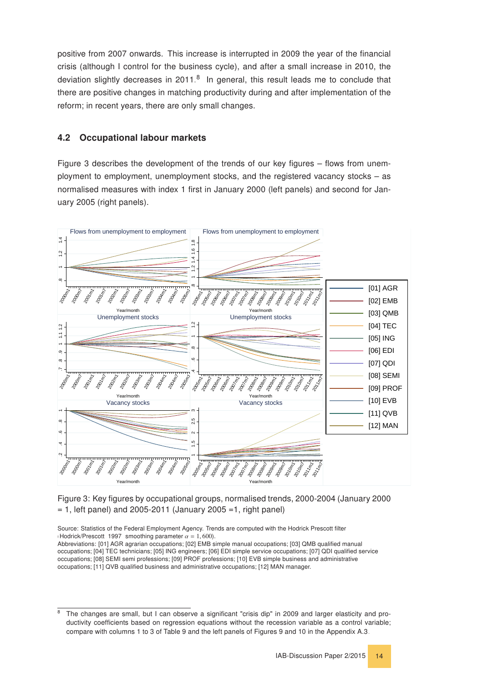positive from 2007 onwards. This increase is interrupted in 2009 the year of the financial crisis (although I control for the business cycle), and after a small increase in 2010, the deviation slightly decreases in 2011.<sup>[8](#page-13-1)</sup> In general, this result leads me to conclude that there are positive changes in matching productivity during and after implementation of the reform; in recent years, there are only small changes.

#### <span id="page-13-0"></span>4.2 Occupational labour markets

Figure [3](#page-13-2) describes the development of the trends of our key figures – flows from unemployment to employment, unemployment stocks, and the registered vacancy stocks – as normalised measures with index 1 first in January 2000 (left panels) and second for January 2005 (right panels).

<span id="page-13-2"></span>![](_page_13_Figure_3.jpeg)

Figure 3: Key figures by occupational groups, normalised trends, 2000-2004 (January 2000  $= 1$ , left panel) and 2005-2011 (January 2005 =1, right panel)

Source: Statistics of the Federal Employment Agency. Trends are computed with the Hodrick Prescott filter [\(Hodrick/Prescott, 1997:](#page-45-13) smoothing parameter  $\alpha = 1,600$ ).

Abbreviations: [01] AGR agrarian occupations; [02] EMB simple manual occupations; [03] QMB qualified manual occupations; [04] TEC technicians; [05] ING engineers; [06] EDI simple service occupations; [07] QDI qualified service occupations; [08] SEMI semi professions; [09] PROF professions; [10] EVB simple business and administrative occupations; [11] QVB qualified business and administrative occupations; [12] MAN manager.

<span id="page-13-1"></span><sup>8</sup> The changes are small, but I can observe a significant "crisis dip" in 2009 and larger elasticity and productivity coefficients based on regression equations without the recession variable as a control variable; compare with columns 1 to 3 of Table [9](#page-37-1) and the left panels of Figures [9](#page-38-0) and [10](#page-38-1) in the Appendix [A.3.](#page-37-0)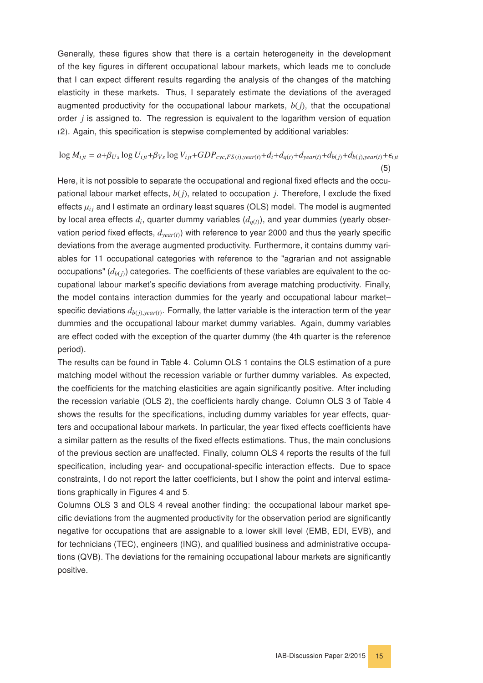Generally, these figures show that there is a certain heterogeneity in the development of the key figures in different occupational labour markets, which leads me to conclude that I can expect different results regarding the analysis of the changes of the matching elasticity in these markets. Thus, I separately estimate the deviations of the averaged augmented productivity for the occupational labour markets,  $b(j)$ , that the occupational order *j* is assigned to. The regression is equivalent to the logarithm version of equation [\(2\)](#page-8-5). Again, this specification is stepwise complemented by additional variables:

#### $\log M_{ijt} = a + \beta_{Us} \log U_{ijt} + \beta_{Vs} \log V_{ijt} + GDP_{cyc,FS(i),year(t)} + d_i + d_{q(t)} + d_{year(t)} + d_{b(j)} + d_{b(j),year(t)} + \epsilon_{ijt}$ (5)

Here, it is not possible to separate the occupational and regional fixed effects and the occupational labour market effects, *b*(*j*), related to occupation *j*. Therefore, I exclude the fixed effects  $\mu_{ij}$  and I estimate an ordinary least squares (OLS) model. The model is augmented by local area effects  $d_i$ , quarter dummy variables  $(d_{q(t)})$ , and year dummies (yearly observation period fixed effects, *dyear*(*t*)) with reference to year 2000 and thus the yearly specific deviations from the average augmented productivity. Furthermore, it contains dummy variables for 11 occupational categories with reference to the "agrarian and not assignable occupations"  $(d_{b(i)})$  categories. The coefficients of these variables are equivalent to the occupational labour market's specific deviations from average matching productivity. Finally, the model contains interaction dummies for the yearly and occupational labour market– specific deviations  $d_{b(j),year(t)}$ . Formally, the latter variable is the interaction term of the year dummies and the occupational labour market dummy variables. Again, dummy variables are effect coded with the exception of the quarter dummy (the 4th quarter is the reference period).

The results can be found in Table [4.](#page-15-0) Column OLS 1 contains the OLS estimation of a pure matching model without the recession variable or further dummy variables. As expected, the coefficients for the matching elasticities are again significantly positive. After including the recession variable (OLS 2), the coefficients hardly change. Column OLS 3 of Table [4](#page-15-0) shows the results for the specifications, including dummy variables for year effects, quarters and occupational labour markets. In particular, the year fixed effects coefficients have a similar pattern as the results of the fixed effects estimations. Thus, the main conclusions of the previous section are unaffected. Finally, column OLS 4 reports the results of the full specification, including year- and occupational-specific interaction effects. Due to space constraints, I do not report the latter coefficients, but I show the point and interval estimations graphically in Figures [4](#page-17-0) and [5.](#page-18-0)

Columns OLS 3 and OLS 4 reveal another finding: the occupational labour market specific deviations from the augmented productivity for the observation period are significantly negative for occupations that are assignable to a lower skill level (EMB, EDI, EVB), and for technicians (TEC), engineers (ING), and qualified business and administrative occupations (QVB). The deviations for the remaining occupational labour markets are significantly positive.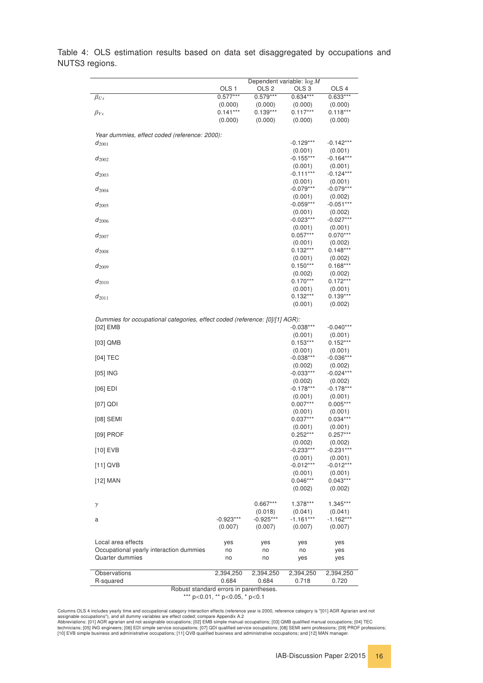| $-0.923***$<br>(0.007)<br>yes<br>no<br>no<br>2,394,250 | $0.667***$<br>(0.018)<br>$-0.925***$<br>(0.007)<br>yes<br>no<br>no<br>2,394,250                                     | (0.001)<br>$-0.012***$<br>(0.001)<br>$0.046***$<br>(0.002)<br>1.378***<br>(0.041)<br>$-1.161***$<br>(0.007)<br>yes<br>no<br>yes<br>2,394,250 | (0.001)<br>$-0.012***$<br>(0.001)<br>$0.043***$<br>(0.002)<br>1.345***<br>(0.041)<br>$-1.162***$<br>(0.007)<br>yes<br>yes<br>yes<br>2,394,250                                                                                                                                   |
|--------------------------------------------------------|---------------------------------------------------------------------------------------------------------------------|----------------------------------------------------------------------------------------------------------------------------------------------|---------------------------------------------------------------------------------------------------------------------------------------------------------------------------------------------------------------------------------------------------------------------------------|
|                                                        |                                                                                                                     |                                                                                                                                              |                                                                                                                                                                                                                                                                                 |
|                                                        |                                                                                                                     |                                                                                                                                              |                                                                                                                                                                                                                                                                                 |
|                                                        |                                                                                                                     |                                                                                                                                              |                                                                                                                                                                                                                                                                                 |
|                                                        |                                                                                                                     |                                                                                                                                              |                                                                                                                                                                                                                                                                                 |
|                                                        |                                                                                                                     |                                                                                                                                              |                                                                                                                                                                                                                                                                                 |
|                                                        |                                                                                                                     |                                                                                                                                              |                                                                                                                                                                                                                                                                                 |
|                                                        |                                                                                                                     |                                                                                                                                              |                                                                                                                                                                                                                                                                                 |
|                                                        |                                                                                                                     |                                                                                                                                              |                                                                                                                                                                                                                                                                                 |
|                                                        |                                                                                                                     |                                                                                                                                              |                                                                                                                                                                                                                                                                                 |
|                                                        |                                                                                                                     |                                                                                                                                              |                                                                                                                                                                                                                                                                                 |
|                                                        |                                                                                                                     | $-0.233***$                                                                                                                                  | $-0.231***$                                                                                                                                                                                                                                                                     |
|                                                        |                                                                                                                     | $0.252***$<br>(0.002)                                                                                                                        | $0.257***$<br>(0.002)                                                                                                                                                                                                                                                           |
|                                                        |                                                                                                                     | (0.001)                                                                                                                                      | (0.001)                                                                                                                                                                                                                                                                         |
|                                                        |                                                                                                                     | (0.001)<br>$0.037***$                                                                                                                        | (0.001)<br>$0.034***$                                                                                                                                                                                                                                                           |
|                                                        |                                                                                                                     | $0.007***$                                                                                                                                   | $0.005***$                                                                                                                                                                                                                                                                      |
|                                                        |                                                                                                                     | $-0.178***$<br>(0.001)                                                                                                                       | $-0.178***$<br>(0.001)                                                                                                                                                                                                                                                          |
|                                                        |                                                                                                                     | (0.002)                                                                                                                                      | (0.002)                                                                                                                                                                                                                                                                         |
|                                                        |                                                                                                                     | (0.002)<br>$-0.033***$                                                                                                                       | (0.002)<br>$-0.024***$                                                                                                                                                                                                                                                          |
|                                                        |                                                                                                                     | $-0.038***$                                                                                                                                  | $-0.036***$                                                                                                                                                                                                                                                                     |
|                                                        |                                                                                                                     |                                                                                                                                              | $0.152***$<br>(0.001)                                                                                                                                                                                                                                                           |
|                                                        |                                                                                                                     | (0.001)                                                                                                                                      | (0.001)                                                                                                                                                                                                                                                                         |
|                                                        |                                                                                                                     | $-0.038***$                                                                                                                                  | $-0.040***$                                                                                                                                                                                                                                                                     |
|                                                        |                                                                                                                     | (0.001)                                                                                                                                      | (0.002)                                                                                                                                                                                                                                                                         |
|                                                        |                                                                                                                     | (0.001)                                                                                                                                      | (0.001)<br>$0.139***$                                                                                                                                                                                                                                                           |
|                                                        |                                                                                                                     | $0.170***$                                                                                                                                   | $0.172***$                                                                                                                                                                                                                                                                      |
|                                                        |                                                                                                                     | $0.150***$                                                                                                                                   | $0.168***$<br>(0.002)                                                                                                                                                                                                                                                           |
|                                                        |                                                                                                                     | (0.001)                                                                                                                                      | (0.002)                                                                                                                                                                                                                                                                         |
|                                                        |                                                                                                                     |                                                                                                                                              | (0.002)<br>$0.148***$                                                                                                                                                                                                                                                           |
|                                                        |                                                                                                                     | $0.057***$                                                                                                                                   | $0.070***$                                                                                                                                                                                                                                                                      |
|                                                        |                                                                                                                     |                                                                                                                                              | $-0.027***$<br>(0.001)                                                                                                                                                                                                                                                          |
|                                                        |                                                                                                                     | (0.001)                                                                                                                                      | (0.002)                                                                                                                                                                                                                                                                         |
|                                                        |                                                                                                                     | $-0.059***$                                                                                                                                  | (0.002)<br>$-0.051***$                                                                                                                                                                                                                                                          |
|                                                        |                                                                                                                     | $-0.079***$                                                                                                                                  | $-0.079***$                                                                                                                                                                                                                                                                     |
|                                                        |                                                                                                                     | (0.001)                                                                                                                                      | $-0.124***$<br>(0.001)                                                                                                                                                                                                                                                          |
|                                                        |                                                                                                                     | (0.001)                                                                                                                                      | (0.001)                                                                                                                                                                                                                                                                         |
|                                                        |                                                                                                                     |                                                                                                                                              | (0.001)<br>$-0.164***$                                                                                                                                                                                                                                                          |
|                                                        |                                                                                                                     | $-0.129***$                                                                                                                                  | $-0.142***$                                                                                                                                                                                                                                                                     |
|                                                        |                                                                                                                     |                                                                                                                                              |                                                                                                                                                                                                                                                                                 |
|                                                        | (0.000)                                                                                                             | (0.000)                                                                                                                                      | (0.000)                                                                                                                                                                                                                                                                         |
|                                                        | $0.139***$                                                                                                          | $0.117***$                                                                                                                                   | (0.000)<br>$0.118***$                                                                                                                                                                                                                                                           |
|                                                        | $0.579***$                                                                                                          | $0.634***$                                                                                                                                   | $0.633***$                                                                                                                                                                                                                                                                      |
|                                                        | OLS <sub>2</sub>                                                                                                    | OLS <sub>3</sub>                                                                                                                             | OLS <sub>4</sub>                                                                                                                                                                                                                                                                |
|                                                        | OLS <sub>1</sub><br>$0.577***$<br>(0.000)<br>$0.141***$<br>(0.000)<br>Year dummies, effect coded (reference: 2000): | (0.000)                                                                                                                                      | Dependent variable: $\log M$<br>(0.000)<br>(0.001)<br>$-0.155***$<br>$-0.111***$<br>(0.001)<br>$-0.023***$<br>(0.001)<br>(0.001)<br>$0.132***$<br>(0.002)<br>$0.132***$<br>Dummies for occupational categories, effect coded (reference: [0]/[1] AGR):<br>$0.153***$<br>(0.001) |

<span id="page-15-0"></span>Table 4: OLS estimation results based on data set disaggregated by occupations and NUTS3 regions.

> Robust standard errors in parentheses. \*\*\* p<0.01, \*\* p<0.05, \* p<0.1

Columns OLS 4 includes yearly time and occupational category interaction effects (reference year is 2000, reference category is "[01] AGR Agrarian and not<br>Abbreviations: [01] AGR agrarian and not assignable occupations; [0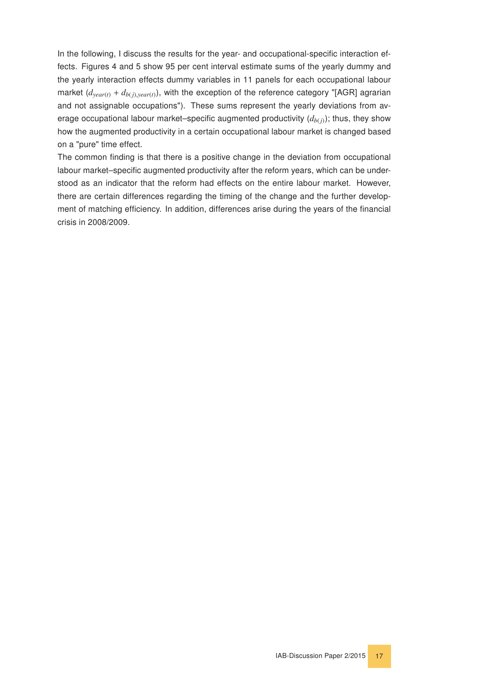In the following, I discuss the results for the year- and occupational-specific interaction effects. Figures [4](#page-17-0) and [5](#page-18-0) show 95 per cent interval estimate sums of the yearly dummy and the yearly interaction effects dummy variables in 11 panels for each occupational labour market  $(d_{year(t)} + d_{b(j),year(t)})$ , with the exception of the reference category "[AGR] agrarian and not assignable occupations"). These sums represent the yearly deviations from average occupational labour market–specific augmented productivity  $(d_{b(i)})$ ; thus, they show how the augmented productivity in a certain occupational labour market is changed based on a "pure" time effect.

The common finding is that there is a positive change in the deviation from occupational labour market–specific augmented productivity after the reform years, which can be understood as an indicator that the reform had effects on the entire labour market. However, there are certain differences regarding the timing of the change and the further development of matching efficiency. In addition, differences arise during the years of the financial crisis in 2008/2009.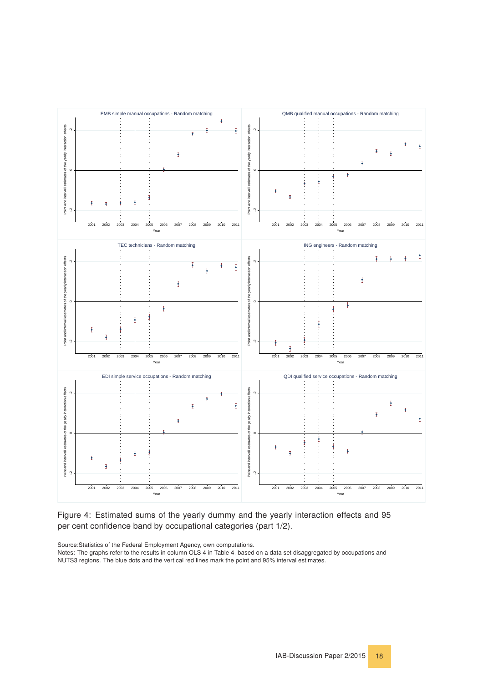<span id="page-17-1"></span><span id="page-17-0"></span>![](_page_17_Figure_0.jpeg)

Figure 4: Estimated sums of the yearly dummy and the yearly interaction effects and 95 per cent confidence band by occupational categories (part 1/2).

Source:Statistics of the Federal Employment Agency, own computations.

Notes: The graphs refer to the results in column OLS 4 in Table [4,](#page-15-0) based on a data set disaggregated by occupations and NUTS3 regions. The blue dots and the vertical red lines mark the point and 95% interval estimates.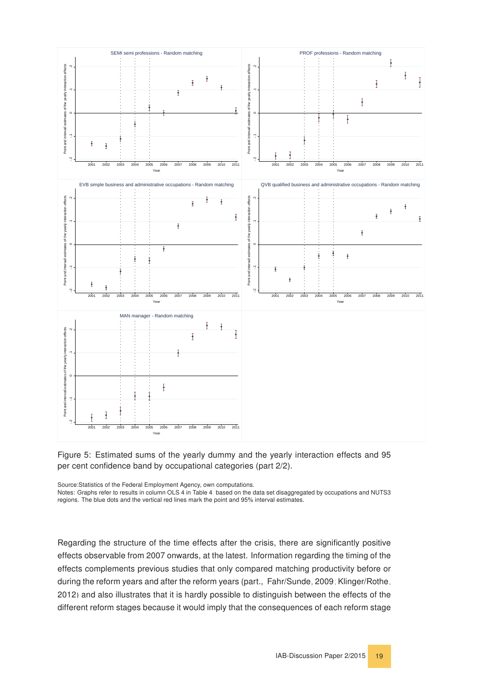<span id="page-18-1"></span><span id="page-18-0"></span>![](_page_18_Figure_0.jpeg)

![](_page_18_Figure_1.jpeg)

Source:Statistics of the Federal Employment Agency, own computations.

Notes: Graphs refer to results in column OLS 4 in Table [4,](#page-15-0) based on the data set disaggregated by occupations and NUTS3 regions. The blue dots and the vertical red lines mark the point and 95% interval estimates.

Regarding the structure of the time effects after the crisis, there are significantly positive effects observable from 2007 onwards, at the latest. Information regarding the timing of the effects complements previous studies that only compared matching productivity before or during the reform years and after the reform years (part., [Fahr/Sunde, 2009;](#page-44-3) [Klinger/Rothe,](#page-45-5) [2012\)](#page-45-5) and also illustrates that it is hardly possible to distinguish between the effects of the different reform stages because it would imply that the consequences of each reform stage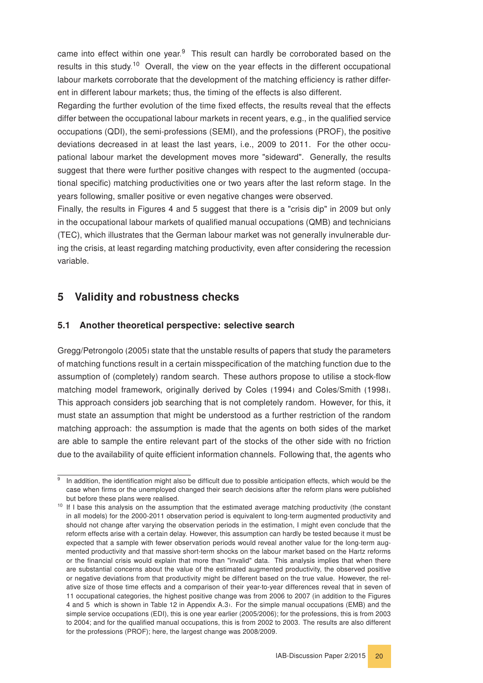came into effect within one year. $9$  This result can hardly be corroborated based on the results in this study.<sup>[10](#page-19-3)</sup> Overall, the view on the year effects in the different occupational labour markets corroborate that the development of the matching efficiency is rather different in different labour markets; thus, the timing of the effects is also different.

Regarding the further evolution of the time fixed effects, the results reveal that the effects differ between the occupational labour markets in recent years, e.g., in the qualified service occupations (QDI), the semi-professions (SEMI), and the professions (PROF), the positive deviations decreased in at least the last years, i.e., 2009 to 2011. For the other occupational labour market the development moves more "sideward". Generally, the results suggest that there were further positive changes with respect to the augmented (occupational specific) matching productivities one or two years after the last reform stage. In the years following, smaller positive or even negative changes were observed.

Finally, the results in Figures [4](#page-17-0) and [5](#page-18-0) suggest that there is a "crisis dip" in 2009 but only in the occupational labour markets of qualified manual occupations (QMB) and technicians (TEC), which illustrates that the German labour market was not generally invulnerable during the crisis, at least regarding matching productivity, even after considering the recession variable.

#### <span id="page-19-0"></span>5 Validity and robustness checks

#### <span id="page-19-1"></span>5.1 Another theoretical perspective: selective search

[Gregg/Petrongolo](#page-45-14) [\(2005\)](#page-45-14) state that the unstable results of papers that study the parameters of matching functions result in a certain misspecification of the matching function due to the assumption of (completely) random search. These authors propose to utilise a stock-flow matching model framework, originally derived by [Coles](#page-44-12) [\(1994\)](#page-44-12) and [Coles/Smith](#page-44-13) [\(1998\)](#page-44-13). This approach considers job searching that is not completely random. However, for this, it must state an assumption that might be understood as a further restriction of the random matching approach: the assumption is made that the agents on both sides of the market are able to sample the entire relevant part of the stocks of the other side with no friction due to the availability of quite efficient information channels. Following that, the agents who

<span id="page-19-2"></span><sup>&</sup>lt;sup>9</sup> In addition, the identification might also be difficult due to possible anticipation effects, which would be the case when firms or the unemployed changed their search decisions after the reform plans were published but before these plans were realised.

<span id="page-19-3"></span><sup>&</sup>lt;sup>10</sup> If I base this analysis on the assumption that the estimated average matching productivity (the constant in all models) for the 2000-2011 observation period is equivalent to long-term augmented productivity and should not change after varying the observation periods in the estimation, I might even conclude that the reform effects arise with a certain delay. However, this assumption can hardly be tested because it must be expected that a sample with fewer observation periods would reveal another value for the long-term augmented productivity and that massive short-term shocks on the labour market based on the Hartz reforms or the financial crisis would explain that more than "invalid" data. This analysis implies that when there are substantial concerns about the value of the estimated augmented productivity, the observed positive or negative deviations from that productivity might be different based on the true value. However, the relative size of those time effects and a comparison of their year-to-year differences reveal that in seven of 11 occupational categories, the highest positive change was from 2006 to 2007 (in addition to the Figures [4](#page-17-0) and [5,](#page-18-0) which is shown in Table [12](#page-43-1) in Appendix [A.3\)](#page-37-0). For the simple manual occupations (EMB) and the simple service occupations (EDI), this is one year earlier (2005/2006); for the professions, this is from 2003 to 2004; and for the qualified manual occupations, this is from 2002 to 2003. The results are also different for the professions (PROF); here, the largest change was 2008/2009.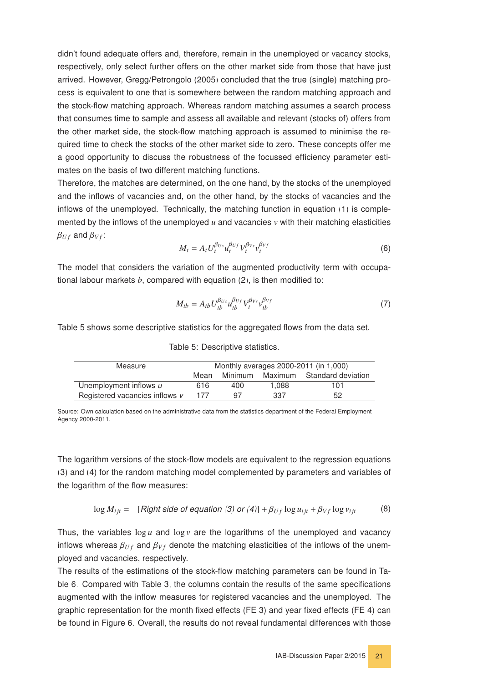didn't found adequate offers and, therefore, remain in the unemployed or vacancy stocks, respectively, only select further offers on the other market side from those that have just arrived. However, [Gregg/Petrongolo](#page-45-14) [\(2005\)](#page-45-14) concluded that the true (single) matching process is equivalent to one that is somewhere between the random matching approach and the stock-flow matching approach. Whereas random matching assumes a search process that consumes time to sample and assess all available and relevant (stocks of) offers from the other market side, the stock-flow matching approach is assumed to minimise the required time to check the stocks of the other market side to zero. These concepts offer me a good opportunity to discuss the robustness of the focussed efficiency parameter estimates on the basis of two different matching functions.

Therefore, the matches are determined, on the one hand, by the stocks of the unemployed and the inflows of vacancies and, on the other hand, by the stocks of vacancies and the inflows of the unemployed. Technically, the matching function in equation [\(1\)](#page-7-1) is complemented by the inflows of the unemployed  $u$  and vacancies  $v$  with their matching elasticities  $\beta_{Uf}$  and  $\beta_{Vf}$ :

$$
M_t = A_t U_t^{\beta_{Us}} u_t^{\beta_{Us}} V_t^{\beta_{Vs}} v_t^{\beta_{Vf}}
$$
(6)

The model that considers the variation of the augmented productivity term with occupational labour markets *b*, compared with equation [\(2\)](#page-8-5), is then modified to:

$$
M_{tb} = A_{tb} U_{tb}^{\beta_{Us}} u_{tb}^{\beta_{Vf}} V_t^{\beta_{Vs}} v_{tb}^{\beta_{Vf}} \tag{7}
$$

<span id="page-20-0"></span>Table [5](#page-20-0) shows some descriptive statistics for the aggregated flows from the data set.

| Measure                        | Monthly averages 2000-2011 (in 1,000) |         |       |                            |
|--------------------------------|---------------------------------------|---------|-------|----------------------------|
|                                | Mean                                  | Minimum |       | Maximum Standard deviation |
| Unemployment inflows u         | 616                                   | 400     | 1.088 | 101                        |
| Registered vacancies inflows v | 177                                   | 97      | 337   | 52                         |

Table 5: Descriptive statistics.

Source: Own calculation based on the administrative data from the statistics department of the Federal Employment Agency 2000-2011.

The logarithm versions of the stock-flow models are equivalent to the regression equations [\(3\)](#page-9-4) and [\(4\)](#page-11-1) for the random matching model complemented by parameters and variables of the logarithm of the flow measures:

$$
\log M_{ijt} = [Right \text{ side of equation (3) or (4)}] + \beta_{Uf} \log u_{ijt} + \beta_{Vf} \log v_{ijt} \tag{8}
$$

Thus, the variables  $\log u$  and  $\log v$  are the logarithms of the unemployed and vacancy inflows whereas  $\beta_{UF}$  and  $\beta_{Vf}$  denote the matching elasticities of the inflows of the unemployed and vacancies, respectively.

The results of the estimations of the stock-flow matching parameters can be found in Table [6.](#page-21-0) Compared with Table [3,](#page-11-0) the columns contain the results of the same specifications augmented with the inflow measures for registered vacancies and the unemployed. The graphic representation for the month fixed effects (FE 3) and year fixed effects (FE 4) can be found in Figure [6.](#page-22-0) Overall, the results do not reveal fundamental differences with those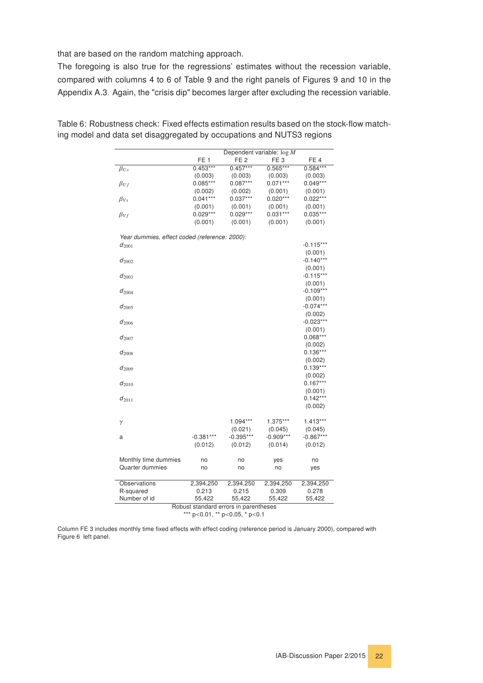that are based on the random matching approach.

The foregoing is also true for the regressions' estimates without the recession variable, compared with columns 4 to 6 of Table [9](#page-37-1) and the right panels of Figures [9](#page-38-0) and [10](#page-38-1) in the Appendix [A.3.](#page-37-0) Again, the "crisis dip" becomes larger after excluding the recession variable.

|                                               | Dependent variable: $\log M$ |                 |                 |                        |
|-----------------------------------------------|------------------------------|-----------------|-----------------|------------------------|
|                                               | FE <sub>1</sub>              | FE <sub>2</sub> | FE <sub>3</sub> | FE <sub>4</sub>        |
| $\beta_{Us}$                                  | $0.453***$                   | $0.457***$      | $0.565***$      | $0.584***$             |
|                                               | (0.003)                      | (0.003)         | (0.003)         | (0.003)                |
| $\beta_{Uf}$                                  | $0.085***$                   | $0.087***$      | $0.071***$      | $0.049***$             |
|                                               | (0.002)                      | (0.002)         | (0.001)         | (0.001)                |
| $\beta_{Vs}$                                  | $0.041***$                   | $0.037***$      | $0.020***$      | $0.022***$             |
|                                               | (0.001)                      | (0.001)         | (0.001)         | (0.001)                |
| $\beta_{Vf}$                                  | $0.029***$                   | $0.029***$      | $0.031***$      | $0.035***$             |
|                                               | (0.001)                      | (0.001)         | (0.001)         | (0.001)                |
| Year dummies, effect coded (reference: 2000): |                              |                 |                 |                        |
| $d_{2001}$                                    |                              |                 |                 | $-0.115***$            |
|                                               |                              |                 |                 | (0.001)                |
| $d_{2002}$                                    |                              |                 |                 | $-0.140***$            |
|                                               |                              |                 |                 | (0.001)<br>$-0.115***$ |
| $d_{2003}$                                    |                              |                 |                 | (0.001)                |
| $d_{2004}$                                    |                              |                 |                 | $-0.109***$            |
|                                               |                              |                 |                 | (0.001)                |
| $d_{2005}$                                    |                              |                 |                 | $-0.074***$            |
|                                               |                              |                 |                 | (0.002)                |
| $d_{2006}$                                    |                              |                 |                 | $-0.023***$            |
|                                               |                              |                 |                 | (0.001)                |
| $d_{2007}$                                    |                              |                 |                 | $0.068***$             |
|                                               |                              |                 |                 | (0.002)                |
| $d_{2008}$                                    |                              |                 |                 | $0.136***$             |
|                                               |                              |                 |                 | (0.002)                |
| $d_{2009}$                                    |                              |                 |                 | $0.139***$             |
|                                               |                              |                 |                 | (0.002)                |
| $d_{2010}$                                    |                              |                 |                 | $0.167***$             |
|                                               |                              |                 |                 | (0.001)                |
| $d_{2011}$                                    |                              |                 |                 | $0.142***$             |
|                                               |                              |                 |                 | (0.002)                |
| $\gamma$                                      |                              | $1.094***$      | 1.375***        | $1.413***$             |
|                                               |                              | (0.021)         | (0.045)         | (0.045)                |
| a                                             | $-0.381***$                  | $-0.395***$     | $-0.909***$     | $-0.867***$            |
|                                               | (0.012)                      | (0.012)         | (0.014)         | (0.012)                |
| Monthly time dummies                          | no                           | no              | yes             | no                     |
| Quarter dummies                               | no                           | no              | no              | yes                    |
|                                               |                              |                 |                 |                        |
| Observations                                  | 2,394,250                    | 2,394,250       | 2,394,250       | 2,394,250              |
| R-squared                                     | 0.213                        | 0.215           | 0.309           | 0.278                  |
| Number of id                                  | 55,422                       | 55,422          | 55,422          | 55,422                 |

<span id="page-21-0"></span>Table 6: Robustness check: Fixed effects estimation results based on the stock-flow matching model and data set disaggregated by occupations and NUTS3 regions

Robust standard errors in parentheses

\*\*\* p<0.01, \*\* p<0.05, \* p<0.1

Column FE 3 includes monthly time fixed effects with effect coding (reference period is January 2000), compared with Figure [6,](#page-22-0) left panel.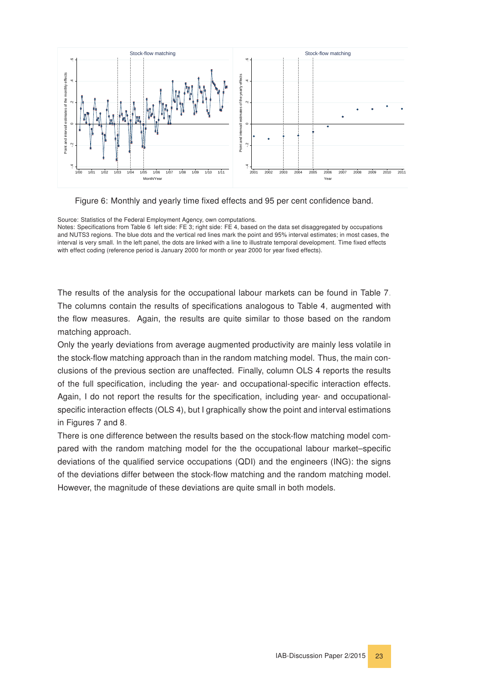<span id="page-22-0"></span>![](_page_22_Figure_0.jpeg)

![](_page_22_Figure_1.jpeg)

Source: Statistics of the Federal Employment Agency, own computations. Notes: Specifications from Table [6,](#page-21-0) left side: FE 3; right side: FE 4, based on the data set disaggregated by occupations and NUTS3 regions. The blue dots and the vertical red lines mark the point and 95% interval estimates; in most cases, the interval is very small. In the left panel, the dots are linked with a line to illustrate temporal development. Time fixed effects with effect coding (reference period is January 2000 for month or year 2000 for year fixed effects).

The results of the analysis for the occupational labour markets can be found in Table [7.](#page-23-0) The columns contain the results of specifications analogous to Table [4,](#page-15-0) augmented with the flow measures. Again, the results are quite similar to those based on the random matching approach.

Only the yearly deviations from average augmented productivity are mainly less volatile in the stock-flow matching approach than in the random matching model. Thus, the main conclusions of the previous section are unaffected. Finally, column OLS 4 reports the results of the full specification, including the year- and occupational-specific interaction effects. Again, I do not report the results for the specification, including year- and occupationalspecific interaction effects (OLS 4), but I graphically show the point and interval estimations in Figures [7](#page-24-0) and [8.](#page-25-0)

There is one difference between the results based on the stock-flow matching model compared with the random matching model for the the occupational labour market–specific deviations of the qualified service occupations (QDI) and the engineers (ING): the signs of the deviations differ between the stock-flow matching and the random matching model. However, the magnitude of these deviations are quite small in both models.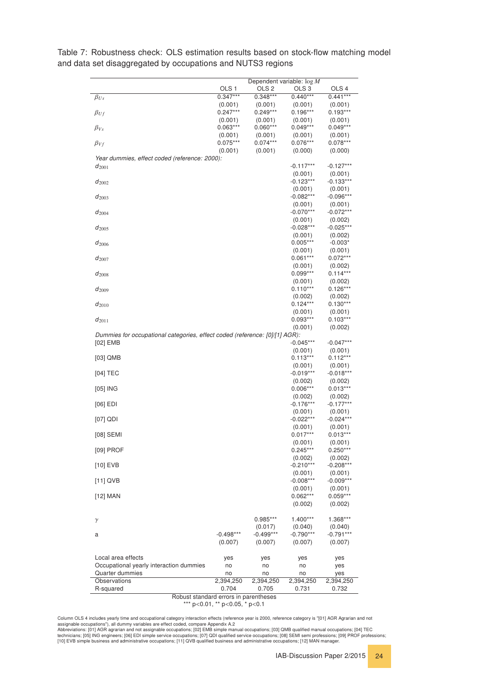|                                                                             |                       |                       | Dependent variable: $\log M$ |                        |
|-----------------------------------------------------------------------------|-----------------------|-----------------------|------------------------------|------------------------|
|                                                                             | OLS <sub>1</sub>      | OLS <sub>2</sub>      | OLS <sub>3</sub>             | OLS <sub>4</sub>       |
| $\beta_{Us}$                                                                | $0.347***$            | $0.348***$            | $0.440***$                   | $0.441***$             |
|                                                                             | (0.001)<br>$0.247***$ | (0.001)<br>$0.249***$ | (0.001)<br>$0.196***$        | (0.001)<br>$0.193***$  |
| $\beta_{Uf}$                                                                | (0.001)               | (0.001)               | (0.001)                      | (0.001)                |
| $\beta_{Vs}$                                                                | $0.063***$            | $0.060***$            | $0.049***$                   | $0.049***$             |
|                                                                             | (0.001)               | (0.001)               | (0.001)                      | (0.001)                |
| $\beta_{Vf}$                                                                | $0.075***$            | $0.074***$            | $0.076***$                   | $0.078***$             |
|                                                                             | (0.001)               | (0.001)               | (0.000)                      | (0.000)                |
| Year dummies, effect coded (reference: 2000):<br>$d_{2001}$                 |                       |                       | $-0.117***$                  | $-0.127***$            |
|                                                                             |                       |                       | (0.001)                      | (0.001)                |
| $d_{2002}$                                                                  |                       |                       | $-0.123***$                  | $-0.133***$            |
|                                                                             |                       |                       | (0.001)                      | (0.001)                |
| $d_{2003}$                                                                  |                       |                       | $-0.082***$                  | $-0.096***$            |
|                                                                             |                       |                       | (0.001)<br>$-0.070***$       | (0.001)<br>$-0.072***$ |
| $d_{2004}$                                                                  |                       |                       | (0.001)                      | (0.002)                |
| $d_{2005}$                                                                  |                       |                       | $-0.028***$                  | $-0.025***$            |
|                                                                             |                       |                       | (0.001)                      | (0.002)                |
| $d_{2006}$                                                                  |                       |                       | $0.005***$                   | $-0.003*$              |
|                                                                             |                       |                       | (0.001)                      | (0.001)                |
| $d_{2007}$                                                                  |                       |                       | $0.061***$<br>(0.001)        | $0.072***$<br>(0.002)  |
| $d_{2008}$                                                                  |                       |                       | $0.099***$                   | $0.114***$             |
|                                                                             |                       |                       | (0.001)                      | (0.002)                |
| $d_{2009}$                                                                  |                       |                       | $0.110***$                   | $0.126***$             |
|                                                                             |                       |                       | (0.002)                      | (0.002)                |
| $d_{2010}$                                                                  |                       |                       | $0.124***$                   | $0.130***$             |
|                                                                             |                       |                       | (0.001)                      | (0.001)                |
| $d_{2011}$                                                                  |                       |                       | $0.093***$<br>(0.001)        | $0.103***$<br>(0.002)  |
| Dummies for occupational categories, effect coded (reference: [0]/[1] AGR): |                       |                       |                              |                        |
| $[02]$ EMB                                                                  |                       |                       | $-0.045***$                  | $-0.047***$            |
|                                                                             |                       |                       | (0.001)                      | (0.001)                |
| $[03]$ QMB                                                                  |                       |                       | $0.113***$                   | $0.112***$             |
|                                                                             |                       |                       | (0.001)                      | (0.001)                |
| $[04]$ TEC                                                                  |                       |                       | $-0.019***$<br>(0.002)       | $-0.018***$<br>(0.002) |
| $[05]$ ING                                                                  |                       |                       | $0.006***$                   | $0.013***$             |
|                                                                             |                       |                       | (0.002)                      | (0.002)                |
| $[06]$ EDI                                                                  |                       |                       | $-0.176***$                  | $-0.177***$            |
|                                                                             |                       |                       | (0.001)                      | (0.001)                |
| $[07]$ QDI                                                                  |                       |                       | $-0.022***$                  | -0.024***              |
| [08] SEMI                                                                   |                       |                       | (0.001)<br>$0.017***$        | (0.001)<br>$0.013***$  |
|                                                                             |                       |                       | (0.001)                      | (0.001)                |
| [09] PROF                                                                   |                       |                       | $0.245***$                   | $0.250***$             |
|                                                                             |                       |                       | (0.002)                      | (0.002)                |
| $[10]$ EVB                                                                  |                       |                       | $-0.210***$                  | $-0.208***$            |
|                                                                             |                       |                       | (0.001)                      | (0.001)                |
| $[11]$ QVB                                                                  |                       |                       | $-0.008***$                  | $-0.009***$            |
| $[12]$ MAN                                                                  |                       |                       | (0.001)<br>$0.062***$        | (0.001)<br>$0.059***$  |
|                                                                             |                       |                       | (0.002)                      | (0.002)                |
|                                                                             |                       |                       |                              |                        |
| $\gamma$                                                                    |                       | 0.985***              | $1.400***$                   | 1.368***               |
|                                                                             |                       | (0.017)               | (0.040)                      | (0.040)                |
| а                                                                           | $-0.498***$           | $-0.499***$           | $-0.790***$                  | $-0.791***$            |
|                                                                             | (0.007)               | (0.007)               | (0.007)                      | (0.007)                |
| Local area effects                                                          | yes                   | yes                   | yes                          | yes                    |
| Occupational yearly interaction dummies                                     | no                    | no                    | no                           | yes                    |
| Quarter dummies                                                             | no                    | no                    | no                           | yes                    |
| Observations                                                                | 2,394,250             | 2,394,250             | 2,394,250                    | 2,394,250              |
| R-squared                                                                   | 0.704                 | 0.705                 | 0.731                        | 0.732                  |

<span id="page-23-0"></span>Table 7: Robustness check: OLS estimation results based on stock-flow matching model and data set disaggregated by occupations and NUTS3 regions

\*\*\* p<0.01, \*\* p<0.05, \* p<0.1

Column OLS 4 includes yearly time and occupational category interaction effects (reference year is 2000, reference category is "[01] AGR Agrarian and not<br>Abbreviations: [01] AGR agrarian and not assignable occupations; [02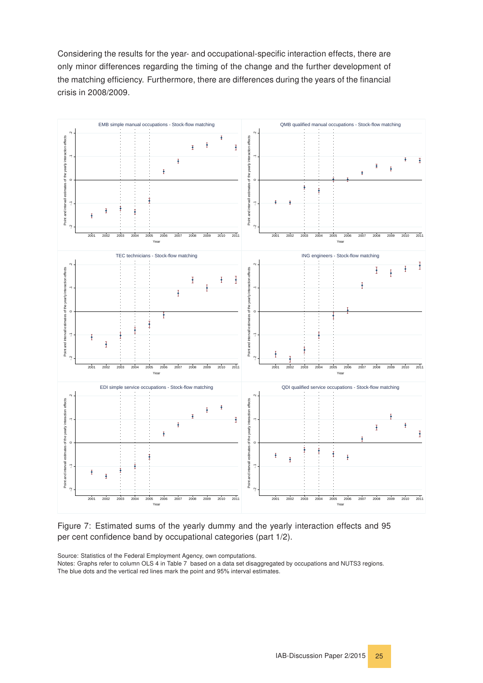<span id="page-24-1"></span>Considering the results for the year- and occupational-specific interaction effects, there are only minor differences regarding the timing of the change and the further development of the matching efficiency. Furthermore, there are differences during the years of the financial crisis in 2008/2009.

<span id="page-24-0"></span>![](_page_24_Figure_1.jpeg)

Figure 7: Estimated sums of the yearly dummy and the yearly interaction effects and 95 per cent confidence band by occupational categories (part 1/2).

Source: Statistics of the Federal Employment Agency, own computations.

Notes: Graphs refer to column OLS 4 in Table [7,](#page-23-0) based on a data set disaggregated by occupations and NUTS3 regions. The blue dots and the vertical red lines mark the point and 95% interval estimates.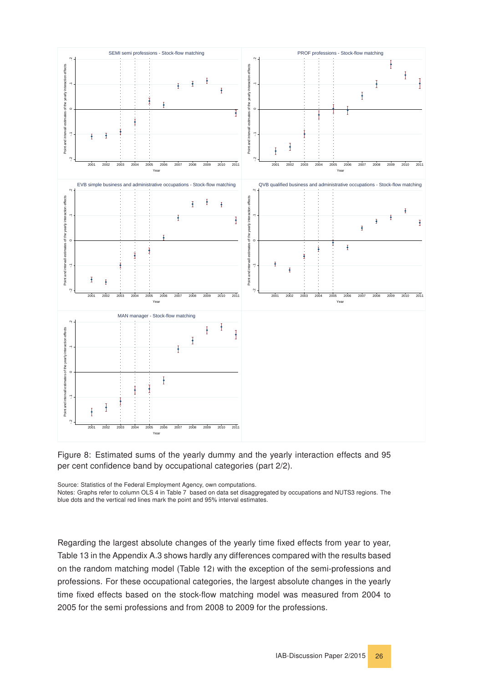<span id="page-25-1"></span><span id="page-25-0"></span>![](_page_25_Figure_0.jpeg)

![](_page_25_Figure_1.jpeg)

Source: Statistics of the Federal Employment Agency, own computations.

Notes: Graphs refer to column OLS 4 in Table [7,](#page-23-0) based on data set disaggregated by occupations and NUTS3 regions. The blue dots and the vertical red lines mark the point and 95% interval estimates.

Regarding the largest absolute changes of the yearly time fixed effects from year to year, Table [13](#page-43-0) in the Appendix [A.3](#page-37-0) shows hardly any differences compared with the results based on the random matching model (Table [12\)](#page-43-1) with the exception of the semi-professions and professions. For these occupational categories, the largest absolute changes in the yearly time fixed effects based on the stock-flow matching model was measured from 2004 to 2005 for the semi professions and from 2008 to 2009 for the professions.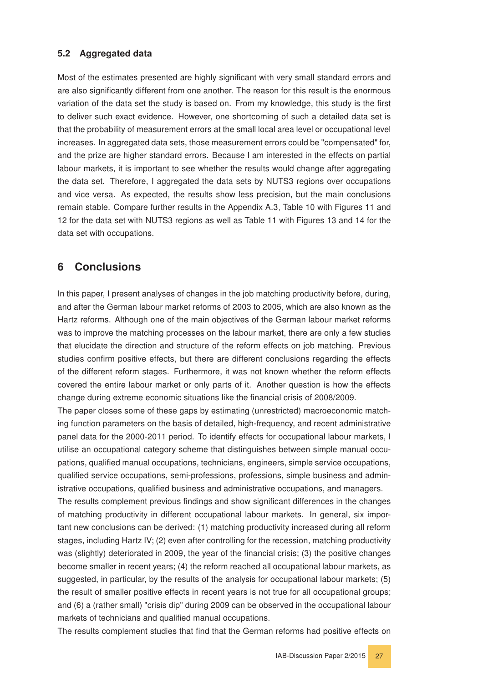#### <span id="page-26-0"></span>5.2 Aggregated data

Most of the estimates presented are highly significant with very small standard errors and are also significantly different from one another. The reason for this result is the enormous variation of the data set the study is based on. From my knowledge, this study is the first to deliver such exact evidence. However, one shortcoming of such a detailed data set is that the probability of measurement errors at the small local area level or occupational level increases. In aggregated data sets, those measurement errors could be "compensated" for, and the prize are higher standard errors. Because I am interested in the effects on partial labour markets, it is important to see whether the results would change after aggregating the data set. Therefore, I aggregated the data sets by NUTS3 regions over occupations and vice versa. As expected, the results show less precision, but the main conclusions remain stable. Compare further results in the Appendix [A.3,](#page-37-0) Table [10](#page-39-0) with Figures [11](#page-40-0) and [12](#page-40-1) for the data set with NUTS3 regions as well as Table [11](#page-41-0) with Figures [13](#page-42-0) and [14](#page-42-1) for the data set with occupations.

## <span id="page-26-1"></span>6 Conclusions

In this paper, I present analyses of changes in the job matching productivity before, during, and after the German labour market reforms of 2003 to 2005, which are also known as the Hartz reforms. Although one of the main objectives of the German labour market reforms was to improve the matching processes on the labour market, there are only a few studies that elucidate the direction and structure of the reform effects on job matching. Previous studies confirm positive effects, but there are different conclusions regarding the effects of the different reform stages. Furthermore, it was not known whether the reform effects covered the entire labour market or only parts of it. Another question is how the effects change during extreme economic situations like the financial crisis of 2008/2009.

The paper closes some of these gaps by estimating (unrestricted) macroeconomic matching function parameters on the basis of detailed, high-frequency, and recent administrative panel data for the 2000-2011 period. To identify effects for occupational labour markets, I utilise an occupational category scheme that distinguishes between simple manual occupations, qualified manual occupations, technicians, engineers, simple service occupations, qualified service occupations, semi-professions, professions, simple business and administrative occupations, qualified business and administrative occupations, and managers.

The results complement previous findings and show significant differences in the changes of matching productivity in different occupational labour markets. In general, six important new conclusions can be derived: (1) matching productivity increased during all reform stages, including Hartz IV; (2) even after controlling for the recession, matching productivity was (slightly) deteriorated in 2009, the year of the financial crisis; (3) the positive changes become smaller in recent years; (4) the reform reached all occupational labour markets, as suggested, in particular, by the results of the analysis for occupational labour markets; (5) the result of smaller positive effects in recent years is not true for all occupational groups; and (6) a (rather small) "crisis dip" during 2009 can be observed in the occupational labour markets of technicians and qualified manual occupations.

The results complement studies that find that the German reforms had positive effects on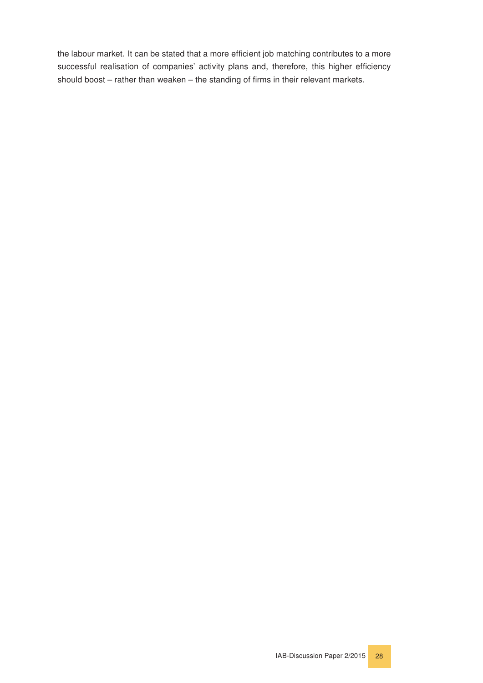the labour market. It can be stated that a more efficient job matching contributes to a more successful realisation of companies' activity plans and, therefore, this higher efficiency should boost – rather than weaken – the standing of firms in their relevant markets.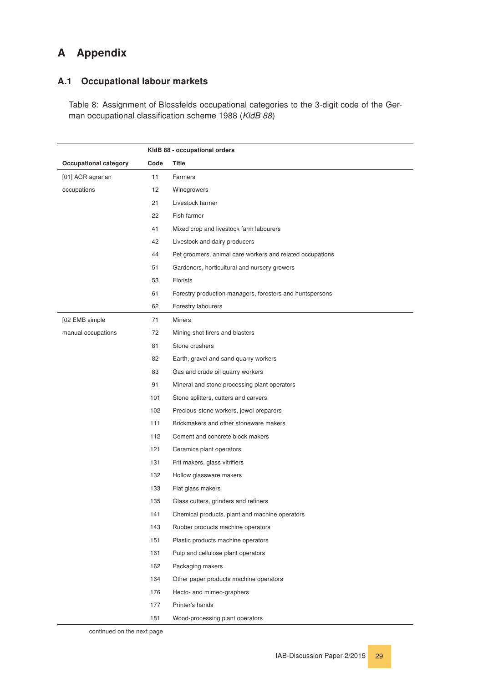# <span id="page-28-0"></span>A Appendix

#### <span id="page-28-1"></span>A.1 Occupational labour markets

Table 8: Assignment of Blossfelds occupational categories to the 3-digit code of the German occupational classification scheme 1988 (KldB 88)

|                       |      | KIdB 88 - occupational orders                             |
|-----------------------|------|-----------------------------------------------------------|
| Occupational category | Code | Title                                                     |
| [01] AGR agrarian     | 11   | Farmers                                                   |
| occupations           | 12   | Winegrowers                                               |
|                       | 21   | Livestock farmer                                          |
|                       | 22   | Fish farmer                                               |
|                       | 41   | Mixed crop and livestock farm labourers                   |
|                       | 42   | Livestock and dairy producers                             |
|                       | 44   | Pet groomers, animal care workers and related occupations |
|                       | 51   | Gardeners, horticultural and nursery growers              |
|                       | 53   | <b>Florists</b>                                           |
|                       | 61   | Forestry production managers, foresters and huntspersons  |
|                       | 62   | Forestry labourers                                        |
| [02 EMB simple        | 71   | <b>Miners</b>                                             |
| manual occupations    | 72   | Mining shot firers and blasters                           |
|                       | 81   | Stone crushers                                            |
|                       | 82   | Earth, gravel and sand quarry workers                     |
|                       | 83   | Gas and crude oil quarry workers                          |
|                       | 91   | Mineral and stone processing plant operators              |
|                       | 101  | Stone splitters, cutters and carvers                      |
|                       | 102  | Precious-stone workers, jewel preparers                   |
|                       | 111  | Brickmakers and other stoneware makers                    |
|                       | 112  | Cement and concrete block makers                          |
|                       | 121  | Ceramics plant operators                                  |
|                       | 131  | Frit makers, glass vitrifiers                             |
|                       | 132  | Hollow glassware makers                                   |
|                       | 133  | Flat glass makers                                         |
|                       | 135  | Glass cutters, grinders and refiners                      |
|                       | 141  | Chemical products, plant and machine operators            |
|                       | 143  | Rubber products machine operators                         |
|                       | 151  | Plastic products machine operators                        |
|                       | 161  | Pulp and cellulose plant operators                        |
|                       | 162  | Packaging makers                                          |
|                       | 164  | Other paper products machine operators                    |
|                       | 176  | Hecto- and mimeo-graphers                                 |
|                       | 177  | Printer's hands                                           |
|                       | 181  | Wood-processing plant operators                           |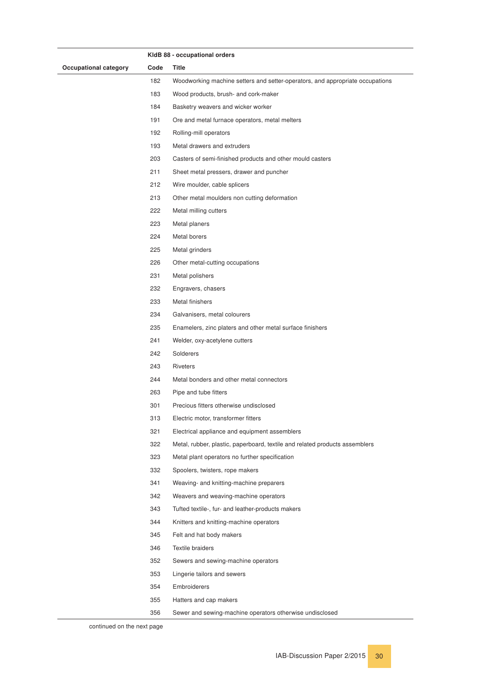|                       |      | KIdB 88 - occupational orders                                                 |
|-----------------------|------|-------------------------------------------------------------------------------|
| Occupational category | Code | Title                                                                         |
|                       | 182  | Woodworking machine setters and setter-operators, and appropriate occupations |
|                       | 183  | Wood products, brush- and cork-maker                                          |
|                       | 184  | Basketry weavers and wicker worker                                            |
|                       | 191  | Ore and metal furnace operators, metal melters                                |
|                       | 192  | Rolling-mill operators                                                        |
|                       | 193  | Metal drawers and extruders                                                   |
|                       | 203  | Casters of semi-finished products and other mould casters                     |
|                       | 211  | Sheet metal pressers, drawer and puncher                                      |
|                       | 212  | Wire moulder, cable splicers                                                  |
|                       | 213  | Other metal moulders non cutting deformation                                  |
|                       | 222  | Metal milling cutters                                                         |
|                       | 223  | Metal planers                                                                 |
|                       | 224  | Metal borers                                                                  |
|                       | 225  | Metal grinders                                                                |
|                       | 226  | Other metal-cutting occupations                                               |
|                       | 231  | Metal polishers                                                               |
|                       | 232  | Engravers, chasers                                                            |
|                       | 233  | Metal finishers                                                               |
|                       | 234  | Galvanisers, metal colourers                                                  |
|                       | 235  | Enamelers, zinc platers and other metal surface finishers                     |
|                       | 241  | Welder, oxy-acetylene cutters                                                 |
|                       | 242  | Solderers                                                                     |
|                       | 243  | <b>Riveters</b>                                                               |
|                       | 244  | Metal bonders and other metal connectors                                      |
|                       | 263  | Pipe and tube fitters                                                         |
|                       | 301  | Precious fitters otherwise undisclosed                                        |
|                       | 313  | Electric motor, transformer fitters                                           |
|                       | 321  | Electrical appliance and equipment assemblers                                 |
|                       | 322  | Metal, rubber, plastic, paperboard, textile and related products assemblers   |
|                       | 323  | Metal plant operators no further specification                                |
|                       | 332  | Spoolers, twisters, rope makers                                               |
|                       | 341  | Weaving- and knitting-machine preparers                                       |
|                       | 342  | Weavers and weaving-machine operators                                         |
|                       | 343  | Tufted textile-, fur- and leather-products makers                             |
|                       | 344  | Knitters and knitting-machine operators                                       |
|                       | 345  | Felt and hat body makers                                                      |
|                       | 346  | Textile braiders                                                              |
|                       | 352  | Sewers and sewing-machine operators                                           |
|                       | 353  | Lingerie tailors and sewers                                                   |
|                       | 354  | Embroiderers                                                                  |
|                       | 355  | Hatters and cap makers                                                        |
|                       | 356  | Sewer and sewing-machine operators otherwise undisclosed                      |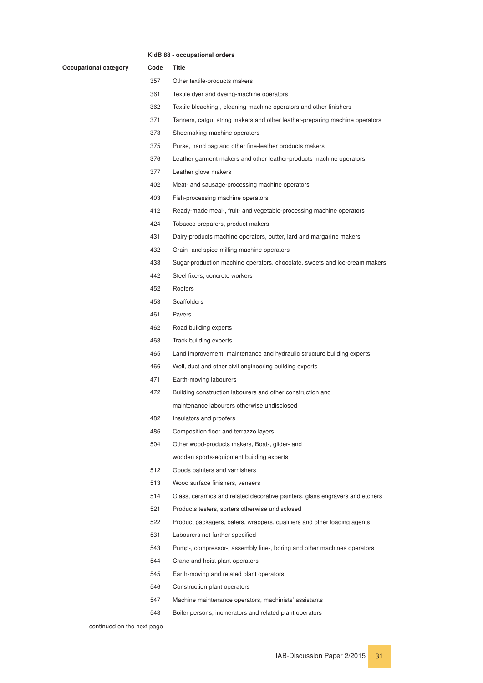|                       |      | KIdB 88 - occupational orders                                                |
|-----------------------|------|------------------------------------------------------------------------------|
| Occupational category | Code | Title                                                                        |
|                       | 357  | Other textile-products makers                                                |
|                       | 361  | Textile dyer and dyeing-machine operators                                    |
|                       | 362  | Textile bleaching-, cleaning-machine operators and other finishers           |
|                       | 371  | Tanners, catgut string makers and other leather-preparing machine operators  |
|                       | 373  | Shoemaking-machine operators                                                 |
|                       | 375  | Purse, hand bag and other fine-leather products makers                       |
|                       | 376  | Leather garment makers and other leather-products machine operators          |
|                       | 377  | Leather glove makers                                                         |
|                       | 402  | Meat- and sausage-processing machine operators                               |
|                       | 403  | Fish-processing machine operators                                            |
|                       | 412  | Ready-made meal-, fruit- and vegetable-processing machine operators          |
|                       | 424  | Tobacco preparers, product makers                                            |
|                       | 431  | Dairy-products machine operators, butter, lard and margarine makers          |
|                       | 432  | Grain- and spice-milling machine operators                                   |
|                       | 433  | Sugar-production machine operators, chocolate, sweets and ice-cream makers   |
|                       | 442  | Steel fixers, concrete workers                                               |
|                       | 452  | Roofers                                                                      |
|                       | 453  | <b>Scaffolders</b>                                                           |
|                       | 461  | Pavers                                                                       |
|                       | 462  | Road building experts                                                        |
|                       | 463  | Track building experts                                                       |
|                       | 465  | Land improvement, maintenance and hydraulic structure building experts       |
|                       | 466  | Well, duct and other civil engineering building experts                      |
|                       | 471  | Earth-moving labourers                                                       |
|                       | 472  | Building construction labourers and other construction and                   |
|                       |      | maintenance labourers otherwise undisclosed                                  |
|                       | 482  | Insulators and proofers                                                      |
|                       | 486  | Composition floor and terrazzo layers                                        |
|                       | 504  | Other wood-products makers, Boat-, glider- and                               |
|                       |      | wooden sports-equipment building experts                                     |
|                       | 512  | Goods painters and varnishers                                                |
|                       | 513  | Wood surface finishers, veneers                                              |
|                       | 514  | Glass, ceramics and related decorative painters, glass engravers and etchers |
|                       | 521  | Products testers, sorters otherwise undisclosed                              |
|                       | 522  | Product packagers, balers, wrappers, qualifiers and other loading agents     |
|                       | 531  | Labourers not further specified                                              |
|                       | 543  | Pump-, compressor-, assembly line-, boring and other machines operators      |
|                       | 544  | Crane and hoist plant operators                                              |
|                       | 545  | Earth-moving and related plant operators                                     |
|                       | 546  | Construction plant operators                                                 |
|                       | 547  | Machine maintenance operators, machinists' assistants                        |
|                       | 548  | Boiler persons, incinerators and related plant operators                     |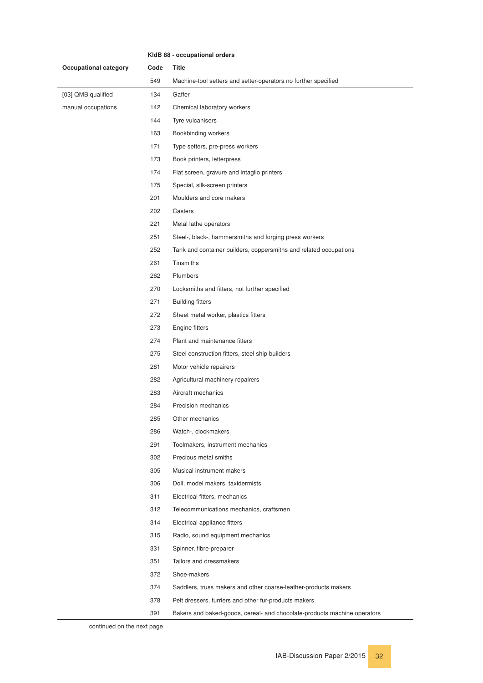|                       |      | KIdB 88 - occupational orders                                            |
|-----------------------|------|--------------------------------------------------------------------------|
| Occupational category | Code | Title                                                                    |
|                       | 549  | Machine-tool setters and setter-operators no further specified           |
| [03] QMB qualified    | 134  | Gaffer                                                                   |
| manual occupations    | 142  | Chemical laboratory workers                                              |
|                       | 144  | Tyre vulcanisers                                                         |
|                       | 163  | Bookbinding workers                                                      |
|                       | 171  | Type setters, pre-press workers                                          |
|                       | 173  | Book printers, letterpress                                               |
|                       | 174  | Flat screen, gravure and intaglio printers                               |
|                       | 175  | Special, silk-screen printers                                            |
|                       | 201  | Moulders and core makers                                                 |
|                       | 202  | Casters                                                                  |
|                       | 221  | Metal lathe operators                                                    |
|                       | 251  | Steel-, black-, hammersmiths and forging press workers                   |
|                       | 252  | Tank and container builders, coppersmiths and related occupations        |
|                       | 261  | Tinsmiths                                                                |
|                       | 262  | Plumbers                                                                 |
|                       | 270  | Locksmiths and fitters, not further specified                            |
|                       | 271  | <b>Building fitters</b>                                                  |
|                       | 272  | Sheet metal worker, plastics fitters                                     |
|                       | 273  | Engine fitters                                                           |
|                       | 274  | Plant and maintenance fitters                                            |
|                       | 275  | Steel construction fitters, steel ship builders                          |
|                       | 281  | Motor vehicle repairers                                                  |
|                       | 282  | Agricultural machinery repairers                                         |
|                       | 283  | Aircraft mechanics                                                       |
|                       | 284  | Precision mechanics                                                      |
|                       | 285  | Other mechanics                                                          |
|                       | 286  | Watch-, clockmakers                                                      |
|                       | 291  | Toolmakers, instrument mechanics                                         |
|                       | 302  | Precious metal smiths                                                    |
|                       | 305  | Musical instrument makers                                                |
|                       | 306  | Doll, model makers, taxidermists                                         |
|                       | 311  | Electrical fitters, mechanics                                            |
|                       | 312  | Telecommunications mechanics, craftsmen                                  |
|                       | 314  | Electrical appliance fitters                                             |
|                       | 315  | Radio, sound equipment mechanics                                         |
|                       | 331  | Spinner, fibre-preparer                                                  |
|                       | 351  | Tailors and dressmakers                                                  |
|                       | 372  | Shoe-makers                                                              |
|                       | 374  | Saddlers, truss makers and other coarse-leather-products makers          |
|                       | 378  | Pelt dressers, furriers and other fur-products makers                    |
|                       | 391  | Bakers and baked-goods, cereal- and chocolate-products machine operators |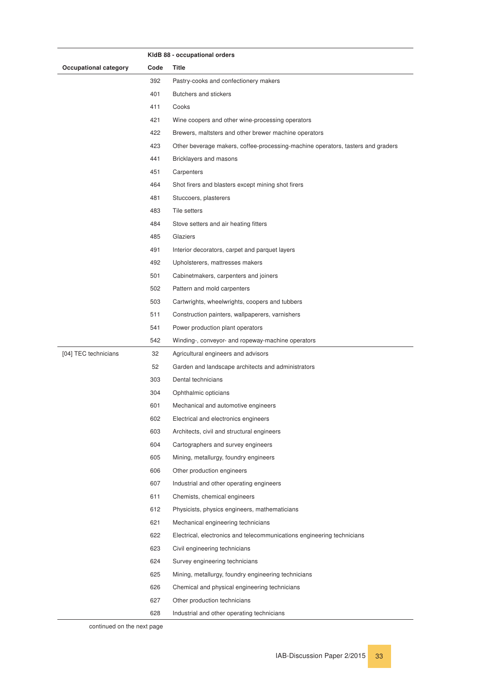|                       |      | KIdB 88 - occupational orders                                                   |
|-----------------------|------|---------------------------------------------------------------------------------|
| Occupational category | Code | Title                                                                           |
|                       | 392  | Pastry-cooks and confectionery makers                                           |
|                       | 401  | Butchers and stickers                                                           |
|                       | 411  | Cooks                                                                           |
|                       | 421  | Wine coopers and other wine-processing operators                                |
|                       | 422  | Brewers, maltsters and other brewer machine operators                           |
|                       | 423  | Other beverage makers, coffee-processing-machine operators, tasters and graders |
|                       | 441  | Bricklayers and masons                                                          |
|                       | 451  | Carpenters                                                                      |
|                       | 464  | Shot firers and blasters except mining shot firers                              |
|                       | 481  | Stuccoers, plasterers                                                           |
|                       | 483  | Tile setters                                                                    |
|                       | 484  | Stove setters and air heating fitters                                           |
|                       | 485  | Glaziers                                                                        |
|                       | 491  | Interior decorators, carpet and parquet layers                                  |
|                       | 492  | Upholsterers, mattresses makers                                                 |
|                       | 501  | Cabinetmakers, carpenters and joiners                                           |
|                       | 502  | Pattern and mold carpenters                                                     |
|                       | 503  | Cartwrights, wheelwrights, coopers and tubbers                                  |
|                       | 511  | Construction painters, wallpaperers, varnishers                                 |
|                       | 541  | Power production plant operators                                                |
|                       | 542  | Winding-, conveyor- and ropeway-machine operators                               |
| [04] TEC technicians  | 32   | Agricultural engineers and advisors                                             |
|                       | 52   | Garden and landscape architects and administrators                              |
|                       | 303  | Dental technicians                                                              |
|                       | 304  | Ophthalmic opticians                                                            |
|                       | 601  | Mechanical and automotive engineers                                             |
|                       | 602  | Electrical and electronics engineers                                            |
|                       | 603  | Architects, civil and structural engineers                                      |
|                       | 604  | Cartographers and survey engineers                                              |
|                       | 605  | Mining, metallurgy, foundry engineers                                           |
|                       | 606  | Other production engineers                                                      |
|                       | 607  | Industrial and other operating engineers                                        |
|                       | 611  | Chemists, chemical engineers                                                    |
|                       | 612  | Physicists, physics engineers, mathematicians                                   |
|                       | 621  | Mechanical engineering technicians                                              |
|                       | 622  | Electrical, electronics and telecommunications engineering technicians          |
|                       | 623  | Civil engineering technicians                                                   |
|                       | 624  | Survey engineering technicians                                                  |
|                       | 625  | Mining, metallurgy, foundry engineering technicians                             |
|                       | 626  | Chemical and physical engineering technicians                                   |
|                       | 627  | Other production technicians                                                    |
|                       | 628  | Industrial and other operating technicians                                      |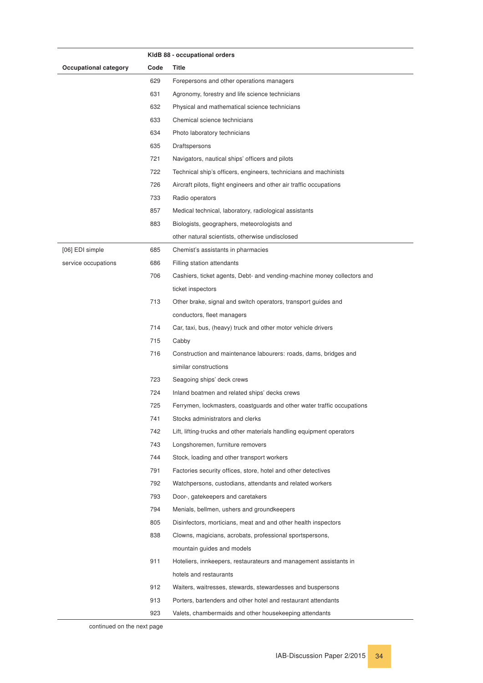|                              |      | KIdB 88 - occupational orders                                           |
|------------------------------|------|-------------------------------------------------------------------------|
| <b>Occupational category</b> | Code | Title                                                                   |
|                              | 629  | Forepersons and other operations managers                               |
|                              | 631  | Agronomy, forestry and life science technicians                         |
|                              | 632  | Physical and mathematical science technicians                           |
|                              | 633  | Chemical science technicians                                            |
|                              | 634  | Photo laboratory technicians                                            |
|                              | 635  | Draftspersons                                                           |
|                              | 721  | Navigators, nautical ships' officers and pilots                         |
|                              | 722  | Technical ship's officers, engineers, technicians and machinists        |
|                              | 726  | Aircraft pilots, flight engineers and other air traffic occupations     |
|                              | 733  | Radio operators                                                         |
|                              | 857  | Medical technical, laboratory, radiological assistants                  |
|                              | 883  | Biologists, geographers, meteorologists and                             |
|                              |      | other natural scientists, otherwise undisclosed                         |
| [06] EDI simple              | 685  | Chemist's assistants in pharmacies                                      |
| service occupations          | 686  | Filling station attendants                                              |
|                              | 706  | Cashiers, ticket agents, Debt- and vending-machine money collectors and |
|                              |      | ticket inspectors                                                       |
|                              | 713  | Other brake, signal and switch operators, transport guides and          |
|                              |      | conductors, fleet managers                                              |
|                              | 714  | Car, taxi, bus, (heavy) truck and other motor vehicle drivers           |
|                              | 715  | Cabby                                                                   |
|                              | 716  | Construction and maintenance labourers: roads, dams, bridges and        |
|                              |      | similar constructions                                                   |
|                              | 723  | Seagoing ships' deck crews                                              |
|                              | 724  | Inland boatmen and related ships' decks crews                           |
|                              | 725  | Ferrymen, lockmasters, coastguards and other water traffic occupations  |
|                              | 741  | Stocks administrators and clerks                                        |
|                              | 742  | Lift, lifting-trucks and other materials handling equipment operators   |
|                              | 743  | Longshoremen, furniture removers                                        |
|                              | 744  | Stock, loading and other transport workers                              |
|                              | 791  | Factories security offices, store, hotel and other detectives           |
|                              | 792  | Watchpersons, custodians, attendants and related workers                |
|                              | 793  | Door-, gatekeepers and caretakers                                       |
|                              | 794  | Menials, bellmen, ushers and groundkeepers                              |
|                              | 805  | Disinfectors, morticians, meat and and other health inspectors          |
|                              | 838  | Clowns, magicians, acrobats, professional sportspersons,                |
|                              |      | mountain guides and models                                              |
|                              | 911  | Hoteliers, innkeepers, restaurateurs and management assistants in       |
|                              |      | hotels and restaurants                                                  |
|                              | 912  | Waiters, waitresses, stewards, stewardesses and buspersons              |
|                              | 913  | Porters, bartenders and other hotel and restaurant attendants           |
|                              | 923  | Valets, chambermaids and other housekeeping attendants                  |
|                              |      |                                                                         |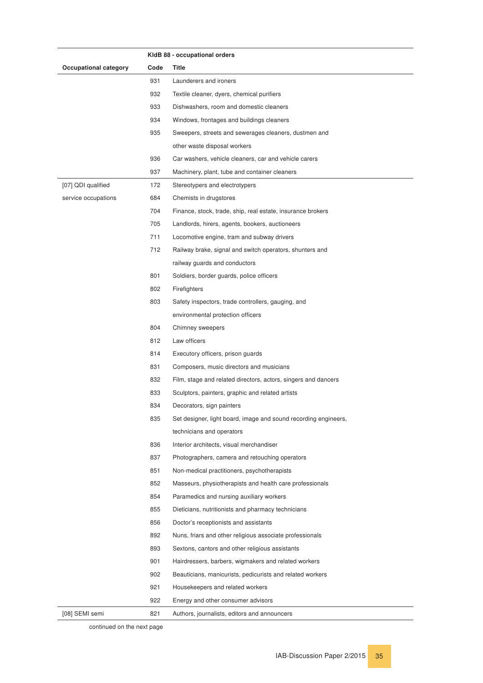|                              |      | KIdB 88 - occupational orders                                   |
|------------------------------|------|-----------------------------------------------------------------|
| <b>Occupational category</b> | Code | Title                                                           |
|                              | 931  | Launderers and ironers                                          |
|                              | 932  | Textile cleaner, dyers, chemical purifiers                      |
|                              | 933  | Dishwashers, room and domestic cleaners                         |
|                              | 934  | Windows, frontages and buildings cleaners                       |
|                              | 935  | Sweepers, streets and sewerages cleaners, dustmen and           |
|                              |      | other waste disposal workers                                    |
|                              | 936  | Car washers, vehicle cleaners, car and vehicle carers           |
|                              | 937  | Machinery, plant, tube and container cleaners                   |
| [07] QDI qualified           | 172  | Stereotypers and electrotypers                                  |
| service occupations          | 684  | Chemists in drugstores                                          |
|                              | 704  | Finance, stock, trade, ship, real estate, insurance brokers     |
|                              | 705  | Landlords, hirers, agents, bookers, auctioneers                 |
|                              | 711  | Locomotive engine, tram and subway drivers                      |
|                              | 712  | Railway brake, signal and switch operators, shunters and        |
|                              |      | railway guards and conductors                                   |
|                              | 801  | Soldiers, border guards, police officers                        |
|                              | 802  | Firefighters                                                    |
|                              | 803  | Safety inspectors, trade controllers, gauging, and              |
|                              |      | environmental protection officers                               |
|                              | 804  | Chimney sweepers                                                |
|                              | 812  | Law officers                                                    |
|                              | 814  | Executory officers, prison guards                               |
|                              | 831  | Composers, music directors and musicians                        |
|                              | 832  | Film, stage and related directors, actors, singers and dancers  |
|                              | 833  | Sculptors, painters, graphic and related artists                |
|                              | 834  | Decorators, sign painters                                       |
|                              | 835  | Set designer, light board, image and sound recording engineers, |
|                              |      | technicians and operators                                       |
|                              | 836  | Interior architects, visual merchandiser                        |
|                              | 837  | Photographers, camera and retouching operators                  |
|                              | 851  | Non-medical practitioners, psychotherapists                     |
|                              | 852  | Masseurs, physiotherapists and health care professionals        |
|                              | 854  | Paramedics and nursing auxiliary workers                        |
|                              | 855  | Dieticians, nutritionists and pharmacy technicians              |
|                              | 856  | Doctor's receptionists and assistants                           |
|                              | 892  | Nuns, friars and other religious associate professionals        |
|                              | 893  | Sextons, cantors and other religious assistants                 |
|                              | 901  | Hairdressers, barbers, wigmakers and related workers            |
|                              | 902  | Beauticians, manicurists, pedicurists and related workers       |
|                              | 921  | Housekeepers and related workers                                |
|                              | 922  | Energy and other consumer advisors                              |
| [08] SEMI semi               | 821  | Authors, journalists, editors and announcers                    |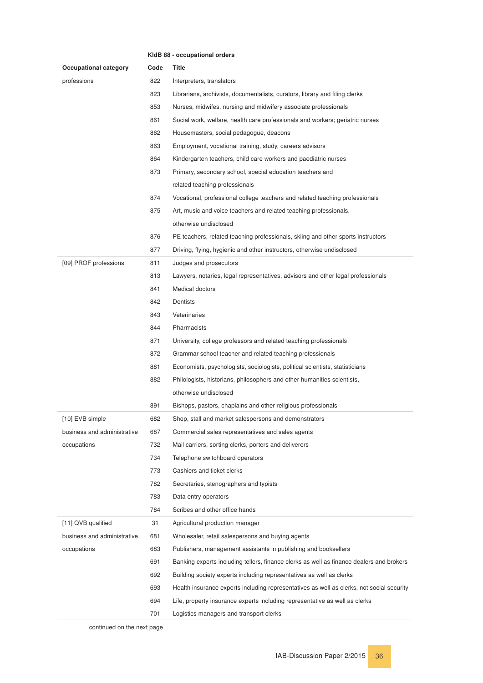|                              |      | KIdB 88 - occupational orders                                                             |
|------------------------------|------|-------------------------------------------------------------------------------------------|
| <b>Occupational category</b> | Code | Title                                                                                     |
| professions                  | 822  | Interpreters, translators                                                                 |
|                              | 823  | Librarians, archivists, documentalists, curators, library and filing clerks               |
|                              | 853  | Nurses, midwifes, nursing and midwifery associate professionals                           |
|                              | 861  | Social work, welfare, health care professionals and workers; geriatric nurses             |
|                              | 862  | Housemasters, social pedagogue, deacons                                                   |
|                              | 863  | Employment, vocational training, study, careers advisors                                  |
|                              | 864  | Kindergarten teachers, child care workers and paediatric nurses                           |
|                              | 873  | Primary, secondary school, special education teachers and                                 |
|                              |      | related teaching professionals                                                            |
|                              | 874  | Vocational, professional college teachers and related teaching professionals              |
|                              | 875  | Art, music and voice teachers and related teaching professionals,                         |
|                              |      | otherwise undisclosed                                                                     |
|                              | 876  | PE teachers, related teaching professionals, skiing and other sports instructors          |
|                              | 877  | Driving, flying, hygienic and other instructors, otherwise undisclosed                    |
| [09] PROF professions        | 811  | Judges and prosecutors                                                                    |
|                              | 813  | Lawyers, notaries, legal representatives, advisors and other legal professionals          |
|                              | 841  | Medical doctors                                                                           |
|                              | 842  | Dentists                                                                                  |
|                              | 843  | Veterinaries                                                                              |
|                              | 844  | Pharmacists                                                                               |
|                              | 871  | University, college professors and related teaching professionals                         |
|                              | 872  | Grammar school teacher and related teaching professionals                                 |
|                              | 881  | Economists, psychologists, sociologists, political scientists, statisticians              |
|                              | 882  | Philologists, historians, philosophers and other humanities scientists,                   |
|                              |      | otherwise undisclosed                                                                     |
|                              | 891  | Bishops, pastors, chaplains and other religious professionals                             |
| [10] EVB simple              | 682  | Shop, stall and market salespersons and demonstrators                                     |
| business and administrative  | 687  | Commercial sales representatives and sales agents                                         |
| occupations                  | 732  | Mail carriers, sorting clerks, porters and deliverers                                     |
|                              | 734  | Telephone switchboard operators                                                           |
|                              | 773  | Cashiers and ticket clerks                                                                |
|                              | 782  | Secretaries, stenographers and typists                                                    |
|                              | 783  | Data entry operators                                                                      |
|                              | 784  | Scribes and other office hands                                                            |
| [11] QVB qualified           | 31   | Agricultural production manager                                                           |
| business and administrative  | 681  | Wholesaler, retail salespersons and buying agents                                         |
| occupations                  | 683  | Publishers, management assistants in publishing and booksellers                           |
|                              | 691  | Banking experts including tellers, finance clerks as well as finance dealers and brokers  |
|                              | 692  | Building society experts including representatives as well as clerks                      |
|                              | 693  | Health insurance experts including representatives as well as clerks, not social security |
|                              | 694  | Life, property insurance experts including representative as well as clerks               |
|                              | 701  | Logistics managers and transport clerks                                                   |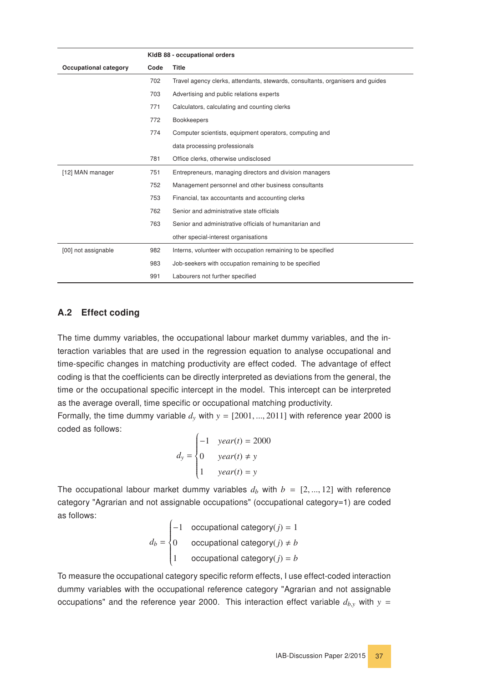|                              |      | KIdB 88 - occupational orders                                                  |
|------------------------------|------|--------------------------------------------------------------------------------|
| <b>Occupational category</b> | Code | <b>Title</b>                                                                   |
|                              | 702  | Travel agency clerks, attendants, stewards, consultants, organisers and quides |
|                              | 703  | Advertising and public relations experts                                       |
|                              | 771  | Calculators, calculating and counting clerks                                   |
|                              | 772  | <b>Bookkeepers</b>                                                             |
|                              | 774  | Computer scientists, equipment operators, computing and                        |
|                              |      | data processing professionals                                                  |
|                              | 781  | Office clerks, otherwise undisclosed                                           |
| [12] MAN manager             | 751  | Entrepreneurs, managing directors and division managers                        |
|                              | 752  | Management personnel and other business consultants                            |
|                              | 753  | Financial, tax accountants and accounting clerks                               |
|                              | 762  | Senior and administrative state officials                                      |
|                              | 763  | Senior and administrative officials of humanitarian and                        |
|                              |      | other special-interest organisations                                           |
| [00] not assignable          | 982  | Interns, volunteer with occupation remaining to be specified                   |
|                              | 983  | Job-seekers with occupation remaining to be specified                          |
|                              | 991  | Labourers not further specified                                                |

#### <span id="page-36-0"></span>A.2 Effect coding

The time dummy variables, the occupational labour market dummy variables, and the interaction variables that are used in the regression equation to analyse occupational and time-specific changes in matching productivity are effect coded. The advantage of effect coding is that the coefficients can be directly interpreted as deviations from the general, the time or the occupational specific intercept in the model. This intercept can be interpreted as the average overall, time specific or occupational matching productivity.

Formally, the time dummy variable  $d_y$  with  $y = [2001, ..., 2011]$  with reference year 2000 is coded as follows:

$$
d_{y} = \begin{cases} -1 & year(t) = 2000 \\ 0 & year(t) \neq y \\ 1 & year(t) = y \end{cases}
$$

The occupational labour market dummy variables  $d_b$  with  $b = [2, ..., 12]$  with reference category "Agrarian and not assignable occupations" (occupational category=1) are coded as follows:

 $d_b =$  $\left\{\begin{array}{c} \end{array}\right\}$  $\begin{array}{c} \hline \end{array}$ −1 occupational category(*j*) = 1 0 occupational category $(j) \neq b$ 1 occupational category $(j) = b$ 

To measure the occupational category specific reform effects, I use effect-coded interaction dummy variables with the occupational reference category "Agrarian and not assignable occupations" and the reference year 2000. This interaction effect variable  $d_{b,y}$  with  $y =$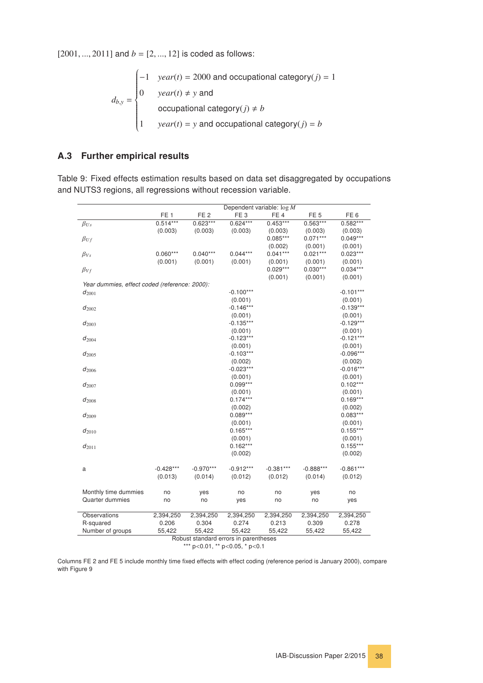$[2001, ..., 2011]$  and  $b = [2, ..., 12]$  is coded as follows:

$$
d_{b,y} = \begin{cases}\n-1 & year(t) = 2000 \text{ and occupational category}(j) = 1 \\
0 & year(t) \neq y \text{ and} \\
 & \text{ocupational category}(j) \neq b \\
1 & year(t) = y \text{ and occupational category}(j) = b\n\end{cases}
$$

#### <span id="page-37-0"></span>A.3 Further empirical results

<span id="page-37-1"></span>Table 9: Fixed effects estimation results based on data set disaggregated by occupations and NUTS3 regions, all regressions without recession variable.

|                                               |                 |                 |                                       | Dependent variable: $\log M$ |                 |                 |
|-----------------------------------------------|-----------------|-----------------|---------------------------------------|------------------------------|-----------------|-----------------|
|                                               | FE <sub>1</sub> | FE <sub>2</sub> | FE <sub>3</sub>                       | FE <sub>4</sub>              | FE <sub>5</sub> | FE <sub>6</sub> |
| $\beta_{Us}$                                  | $0.514***$      | $0.623***$      | $0.624***$                            | $0.453***$                   | $0.563***$      | $0.582***$      |
|                                               | (0.003)         | (0.003)         | (0.003)                               | (0.003)                      | (0.003)         | (0.003)         |
| $\beta_{Uf}$                                  |                 |                 |                                       | $0.085***$                   | $0.071***$      | $0.049***$      |
|                                               |                 |                 |                                       | (0.002)                      | (0.001)         | (0.001)         |
| $\beta_{Vs}$                                  | $0.060***$      | $0.040***$      | $0.044***$                            | $0.041***$                   | $0.021***$      | $0.023***$      |
|                                               | (0.001)         | (0.001)         | (0.001)                               | (0.001)                      | (0.001)         | (0.001)         |
| $\beta_{Vf}$                                  |                 |                 |                                       | $0.029***$                   | $0.030***$      | $0.034***$      |
|                                               |                 |                 |                                       | (0.001)                      | (0.001)         | (0.001)         |
| Year dummies, effect coded (reference: 2000): |                 |                 |                                       |                              |                 |                 |
| $d_{2001}$                                    |                 |                 | $-0.100***$                           |                              |                 | $-0.101***$     |
|                                               |                 |                 | (0.001)                               |                              |                 | (0.001)         |
| $d_{2002}$                                    |                 |                 | $-0.146***$                           |                              |                 | $-0.139***$     |
|                                               |                 |                 | (0.001)                               |                              |                 | (0.001)         |
| $d_{2003}$                                    |                 |                 | $-0.135***$                           |                              |                 | $-0.129***$     |
|                                               |                 |                 | (0.001)                               |                              |                 | (0.001)         |
| $d_{2004}$                                    |                 |                 | $-0.123***$                           |                              |                 | $-0.121***$     |
|                                               |                 |                 | (0.001)                               |                              |                 | (0.001)         |
| $d_{2005}$                                    |                 |                 | $-0.103***$                           |                              |                 | $-0.096***$     |
|                                               |                 |                 | (0.002)                               |                              |                 | (0.002)         |
| $d_{2006}$                                    |                 |                 | $-0.023***$                           |                              |                 | $-0.016***$     |
|                                               |                 |                 | (0.001)                               |                              |                 | (0.001)         |
| $d_{2007}$                                    |                 |                 | $0.099***$                            |                              |                 | $0.102***$      |
|                                               |                 |                 | (0.001)                               |                              |                 | (0.001)         |
| $d_{2008}$                                    |                 |                 | $0.174***$                            |                              |                 | $0.169***$      |
|                                               |                 |                 | (0.002)                               |                              |                 | (0.002)         |
| $d_{2009}$                                    |                 |                 | $0.089***$                            |                              |                 | $0.083***$      |
|                                               |                 |                 | (0.001)                               |                              |                 | (0.001)         |
| $d_{2010}$                                    |                 |                 | $0.165***$                            |                              |                 | $0.155***$      |
|                                               |                 |                 | (0.001)                               |                              |                 | (0.001)         |
| $d_{2011}$                                    |                 |                 | $0.162***$                            |                              |                 | $0.155***$      |
|                                               |                 |                 | (0.002)                               |                              |                 | (0.002)         |
|                                               |                 |                 |                                       |                              |                 |                 |
| a                                             | $-0.428***$     | $-0.970***$     | $-0.912***$                           | $-0.381***$                  | $-0.888***$     | $-0.861***$     |
|                                               | (0.013)         | (0.014)         | (0.012)                               | (0.012)                      | (0.014)         | (0.012)         |
|                                               |                 |                 |                                       |                              |                 |                 |
| Monthly time dummies                          | no              | yes             | no                                    | no                           | yes             | no              |
| Quarter dummies                               | no              | no              | yes                                   | no                           | no              | yes             |
|                                               |                 |                 |                                       |                              |                 |                 |
| Observations                                  | 2,394,250       | 2,394,250       | 2,394,250                             | 2,394,250                    | 2,394,250       | 2,394,250       |
| R-squared                                     | 0.206           | 0.304           | 0.274                                 | 0.213                        | 0.309           | 0.278           |
| Number of groups                              | 55,422          | 55,422          | 55,422                                | 55,422                       | 55,422          | 55,422          |
|                                               |                 |                 | Robust standard errors in parentheses |                              |                 |                 |

\*\*\* p<0.01, \*\* p<0.05, \* p<0.1

Columns FE 2 and FE 5 include monthly time fixed effects with effect coding (reference period is January 2000), compare with Figure [9.](#page-38-0)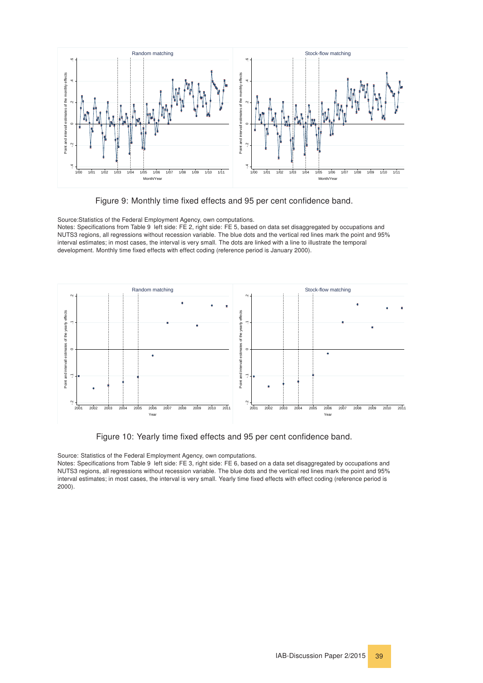<span id="page-38-0"></span>![](_page_38_Figure_0.jpeg)

![](_page_38_Figure_1.jpeg)

Source:Statistics of the Federal Employment Agency, own computations. Notes: Specifications from Table [9,](#page-37-1) left side: FE 2, right side: FE 5, based on data set disaggregated by occupations and NUTS3 regions, all regressions without recession variable. The blue dots and the vertical red lines mark the point and 95% interval estimates; in most cases, the interval is very small. The dots are linked with a line to illustrate the temporal development. Monthly time fixed effects with effect coding (reference period is January 2000).

<span id="page-38-1"></span>![](_page_38_Figure_3.jpeg)

Figure 10: Yearly time fixed effects and 95 per cent confidence band.

Source: Statistics of the Federal Employment Agency, own computations.

Notes: Specifications from Table [9,](#page-37-1) left side: FE 3, right side: FE 6, based on a data set disaggregated by occupations and NUTS3 regions, all regressions without recession variable. The blue dots and the vertical red lines mark the point and 95% interval estimates; in most cases, the interval is very small. Yearly time fixed effects with effect coding (reference period is 2000).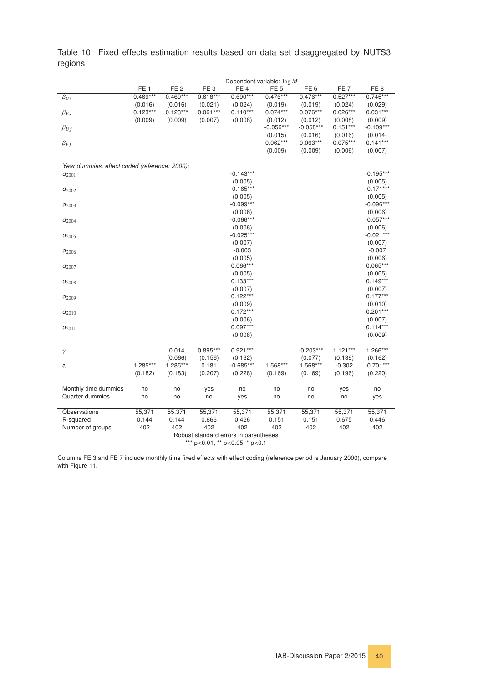|                                               |                 |                 |                 | Dependent variable: $\log M$ |                       |                       |                       |                        |
|-----------------------------------------------|-----------------|-----------------|-----------------|------------------------------|-----------------------|-----------------------|-----------------------|------------------------|
|                                               | FE <sub>1</sub> | FE <sub>2</sub> | FE <sub>3</sub> | FE <sub>4</sub>              | FE <sub>5</sub>       | FE <sub>6</sub>       | FE <sub>7</sub>       | FE <sub>8</sub>        |
| $\beta_{Us}$                                  | $0.469***$      | $0.469***$      | $0.618***$      | $0.690***$                   | $0.476***$            | $0.476***$            | $0.527***$            | $0.745***$             |
|                                               | (0.016)         | (0.016)         | (0.021)         | (0.024)                      | (0.019)               | (0.019)               | (0.024)               | (0.029)                |
| $\beta_{Vs}$                                  | $0.123***$      | $0.123***$      | $0.061***$      | $0.110***$                   | $0.074***$            | $0.076***$            | $0.026***$            | $0.031***$             |
|                                               | (0.009)         | (0.009)         | (0.007)         | (0.008)                      | (0.012)               | (0.012)               | (0.008)               | (0.009)                |
| $\beta_{Uf}$                                  |                 |                 |                 |                              | $-0.056***$           | $-0.058***$           | $0.151***$            | $-0.109***$            |
| $\beta_{Vf}$                                  |                 |                 |                 |                              | (0.015)<br>$0.062***$ | (0.016)<br>$0.063***$ | (0.016)<br>$0.075***$ | (0.014)<br>$0.141***$  |
|                                               |                 |                 |                 |                              | (0.009)               | (0.009)               | (0.006)               | (0.007)                |
|                                               |                 |                 |                 |                              |                       |                       |                       |                        |
| Year dummies, effect coded (reference: 2000): |                 |                 |                 |                              |                       |                       |                       |                        |
| $d_{2001}$                                    |                 |                 |                 | $-0.143***$                  |                       |                       |                       | $-0.195***$            |
|                                               |                 |                 |                 | (0.005)                      |                       |                       |                       | (0.005)                |
| $d_{2002}$                                    |                 |                 |                 | $-0.165***$                  |                       |                       |                       | $-0.171***$            |
|                                               |                 |                 |                 | (0.005)                      |                       |                       |                       | (0.005)                |
| $d_{2003}$                                    |                 |                 |                 | $-0.099***$<br>(0.006)       |                       |                       |                       | $-0.096***$<br>(0.006) |
| $d_{2004}$                                    |                 |                 |                 | $-0.066***$                  |                       |                       |                       | $-0.057***$            |
|                                               |                 |                 |                 | (0.006)                      |                       |                       |                       | (0.006)                |
| $d_{2005}$                                    |                 |                 |                 | $-0.025***$                  |                       |                       |                       | $-0.021***$            |
|                                               |                 |                 |                 | (0.007)                      |                       |                       |                       | (0.007)                |
| $d_{2006}$                                    |                 |                 |                 | $-0.003$                     |                       |                       |                       | $-0.007$               |
|                                               |                 |                 |                 | (0.005)                      |                       |                       |                       | (0.006)                |
| $d_{2007}$                                    |                 |                 |                 | $0.066***$                   |                       |                       |                       | $0.065***$             |
|                                               |                 |                 |                 | (0.005)                      |                       |                       |                       | (0.005)                |
| $d_{2008}$                                    |                 |                 |                 | $0.133***$                   |                       |                       |                       | $0.149***$             |
| $d_{2009}$                                    |                 |                 |                 | (0.007)<br>$0.122***$        |                       |                       |                       | (0.007)<br>$0.177***$  |
|                                               |                 |                 |                 | (0.009)                      |                       |                       |                       | (0.010)                |
| $d_{2010}$                                    |                 |                 |                 | $0.172***$                   |                       |                       |                       | $0.201***$             |
|                                               |                 |                 |                 | (0.006)                      |                       |                       |                       | (0.007)                |
| $d_{2011}$                                    |                 |                 |                 | $0.097***$                   |                       |                       |                       | $0.114***$             |
|                                               |                 |                 |                 | (0.008)                      |                       |                       |                       | (0.009)                |
|                                               |                 |                 |                 |                              |                       |                       |                       |                        |
| $\gamma$                                      |                 | 0.014           | $0.895***$      | $0.921***$                   |                       | $-0.203***$           | $1.121***$            | $1.266***$             |
|                                               |                 | (0.066)         | (0.156)         | (0.162)                      |                       | (0.077)               | (0.139)               | (0.162)                |
| a                                             | 1.285***        | 1.285***        | 0.181           | $-0.685***$                  | 1.568***              | 1.568***              | $-0.302$              | $-0.701***$            |
|                                               | (0.182)         | (0.183)         | (0.207)         | (0.228)                      | (0.169)               | (0.169)               | (0.196)               | (0.220)                |
| Monthly time dummies                          | no              | no              | yes             | no                           | no                    | no                    | yes                   | no                     |
| Quarter dummies                               | no              | no              | no              | yes                          | no                    | no                    | no                    | yes                    |
|                                               |                 |                 |                 |                              |                       |                       |                       |                        |
| Observations                                  | 55,371          | 55,371          | 55,371          | 55,371                       | 55,371                | 55,371                | 55,371                | 55,371                 |
| R-squared                                     | 0.144           | 0.144           | 0.666           | 0.426                        | 0.151                 | 0.151                 | 0.675                 | 0.446                  |
| Number of groups                              | 402             | 402             | 402             | 402                          | 402                   | 402                   | 402                   | 402                    |

<span id="page-39-0"></span>Table 10: Fixed effects estimation results based on data set disaggregated by NUTS3 regions.

Robust standard errors in parentheses

\*\*\* p<0.01, \*\* p<0.05, \* p<0.1

Columns FE 3 and FE 7 include monthly time fixed effects with effect coding (reference period is January 2000), compare with Figure [11.](#page-40-0)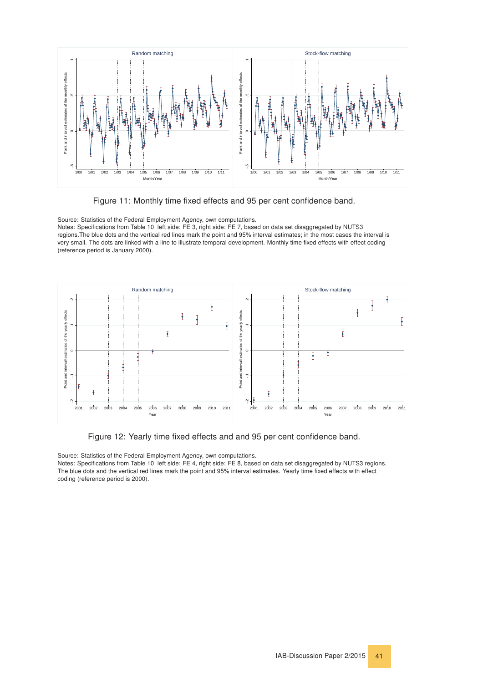<span id="page-40-0"></span>![](_page_40_Figure_0.jpeg)

Figure 11: Monthly time fixed effects and 95 per cent confidence band.

Source: Statistics of the Federal Employment Agency, own computations. Notes: Specifications from Table [10,](#page-39-0) left side: FE 3, right side: FE 7, based on data set disaggregated by NUTS3 regions.The blue dots and the vertical red lines mark the point and 95% interval estimates; in the most cases the interval is very small. The dots are linked with a line to illustrate temporal development. Monthly time fixed effects with effect coding (reference period is January 2000).

<span id="page-40-1"></span>![](_page_40_Figure_3.jpeg)

Figure 12: Yearly time fixed effects and and 95 per cent confidence band.

Source: Statistics of the Federal Employment Agency, own computations. Notes: Specifications from Table [10,](#page-39-0) left side: FE 4, right side: FE 8, based on data set disaggregated by NUTS3 regions. The blue dots and the vertical red lines mark the point and 95% interval estimates. Yearly time fixed effects with effect coding (reference period is 2000).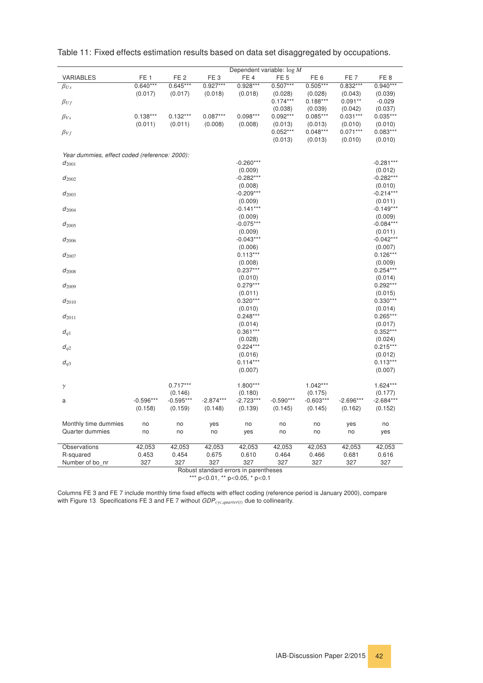|                                               |                 |                 |                 | Dependent variable: $\log M$ |                 |                 |                 |                        |
|-----------------------------------------------|-----------------|-----------------|-----------------|------------------------------|-----------------|-----------------|-----------------|------------------------|
| <b>VARIABLES</b>                              | FE <sub>1</sub> | FE <sub>2</sub> | FE <sub>3</sub> | FE <sub>4</sub>              | FE <sub>5</sub> | FE <sub>6</sub> | FE <sub>7</sub> | FE <sub>8</sub>        |
| $\beta_{Us}$                                  | $0.640***$      | $0.645***$      | $0.927***$      | $0.928***$                   | $0.507***$      | $0.505***$      | $0.832***$      | $0.940***$             |
|                                               | (0.017)         | (0.017)         | (0.018)         | (0.018)                      | (0.028)         | (0.028)         | (0.043)         | (0.039)                |
| $\beta_{Uf}$                                  |                 |                 |                 |                              | $0.174***$      | $0.188***$      | $0.091**$       | $-0.029$               |
|                                               |                 |                 |                 |                              | (0.038)         | (0.039)         | (0.042)         | (0.037)                |
| $\beta_{Vs}$                                  | $0.138***$      | $0.132***$      | $0.087***$      | $0.098***$                   | $0.092***$      | $0.085***$      | $0.031***$      | $0.035***$             |
|                                               | (0.011)         | (0.011)         | (0.008)         | (0.008)                      | (0.013)         | (0.013)         | (0.010)         | (0.010)                |
| $\beta_{Vf}$                                  |                 |                 |                 |                              | $0.052***$      | $0.048***$      | $0.071***$      | $0.083***$             |
|                                               |                 |                 |                 |                              | (0.013)         | (0.013)         | (0.010)         | (0.010)                |
|                                               |                 |                 |                 |                              |                 |                 |                 |                        |
| Year dummies, effect coded (reference: 2000): |                 |                 |                 |                              |                 |                 |                 |                        |
| $d_{2001}$                                    |                 |                 |                 | $-0.260***$                  |                 |                 |                 | $-0.281***$            |
|                                               |                 |                 |                 | (0.009)                      |                 |                 |                 | (0.012)                |
| $d_{2002}$                                    |                 |                 |                 | $-0.282***$                  |                 |                 |                 | $-0.282***$            |
|                                               |                 |                 |                 | (0.008)                      |                 |                 |                 | (0.010)                |
| $d_{2003}$                                    |                 |                 |                 | $-0.209***$                  |                 |                 |                 | $-0.214***$            |
|                                               |                 |                 |                 | (0.009)                      |                 |                 |                 | (0.011)                |
| $d_{2004}$                                    |                 |                 |                 | $-0.141***$                  |                 |                 |                 | $-0.149***$            |
|                                               |                 |                 |                 | (0.009)                      |                 |                 |                 | (0.009)                |
| $d_{2005}$                                    |                 |                 |                 | $-0.075***$                  |                 |                 |                 | $-0.084***$            |
|                                               |                 |                 |                 | (0.009)<br>$-0.043***$       |                 |                 |                 | (0.011)<br>$-0.042***$ |
| $d_{2006}$                                    |                 |                 |                 | (0.006)                      |                 |                 |                 |                        |
|                                               |                 |                 |                 | $0.113***$                   |                 |                 |                 | (0.007)<br>$0.126***$  |
| $d_{2007}$                                    |                 |                 |                 | (0.008)                      |                 |                 |                 | (0.009)                |
| $d_{2008}$                                    |                 |                 |                 | $0.237***$                   |                 |                 |                 | $0.254***$             |
|                                               |                 |                 |                 | (0.010)                      |                 |                 |                 | (0.014)                |
| $d_{2009}$                                    |                 |                 |                 | $0.279***$                   |                 |                 |                 | $0.292***$             |
|                                               |                 |                 |                 | (0.011)                      |                 |                 |                 | (0.015)                |
| $d_{2010}$                                    |                 |                 |                 | $0.320***$                   |                 |                 |                 | $0.330***$             |
|                                               |                 |                 |                 | (0.010)                      |                 |                 |                 | (0.014)                |
| $d_{2011}$                                    |                 |                 |                 | $0.248***$                   |                 |                 |                 | $0.265***$             |
|                                               |                 |                 |                 | (0.014)                      |                 |                 |                 | (0.017)                |
| $d_{q1}$                                      |                 |                 |                 | $0.361***$                   |                 |                 |                 | $0.352***$             |
|                                               |                 |                 |                 | (0.028)                      |                 |                 |                 | (0.024)                |
| $d_{q2}$                                      |                 |                 |                 | $0.224***$                   |                 |                 |                 | $0.215***$             |
|                                               |                 |                 |                 | (0.016)                      |                 |                 |                 | (0.012)                |
| $d_{q3}$                                      |                 |                 |                 | $0.114***$                   |                 |                 |                 | $0.113***$             |
|                                               |                 |                 |                 | (0.007)                      |                 |                 |                 | (0.007)                |
|                                               |                 |                 |                 |                              |                 |                 |                 |                        |
| $\gamma$                                      |                 | $0.717***$      |                 | 1.800***                     |                 | $1.042***$      |                 | $1.624***$             |
|                                               |                 | (0.146)         |                 | (0.180)                      |                 | (0.175)         |                 | (0.177)                |
| a                                             | $-0.596***$     | $-0.595***$     | $-2.874***$     | $-2.723***$                  | $-0.590***$     | $-0.603***$     | $-2.696***$     | $-2.684***$            |
|                                               | (0.158)         | (0.159)         | (0.148)         | (0.139)                      | (0.145)         | (0.145)         | (0.162)         | (0.152)                |
|                                               |                 |                 |                 |                              |                 |                 |                 |                        |
| Monthly time dummies                          | no              | no              | yes             | no                           | no              | no              | yes             | no                     |
| Quarter dummies                               | no              | no              | no              | yes                          | no              | no              | no              | yes                    |
|                                               |                 |                 |                 |                              |                 |                 |                 |                        |
| Observations                                  | 42,053          | 42,053          | 42,053          | 42,053                       | 42,053          | 42,053          | 42,053          | 42,053                 |
| R-squared                                     | 0.453           | 0.454           | 0.675           | 0.610                        | 0.464           | 0.466           | 0.681           | 0.616                  |
| Number of bo_nr                               | 327             | 327             | 327             | 327                          | 327             | 327             | 327             | 327                    |

<span id="page-41-0"></span>

| Table 11: Fixed effects estimation results based on data set disaggregated by occupations. |  |  |  |
|--------------------------------------------------------------------------------------------|--|--|--|
|                                                                                            |  |  |  |

Robust standard errors in parentheses

\*\*\* p<0.01, \*\* p<0.05, \* p<0.1

Columns FE 3 and FE 7 include monthly time fixed effects with effect coding (reference period is January 2000), compare with Figure [13.](#page-42-0) Specifications FE 3 and FE 7 without GDP*cyc*,*quarter*(*t*) due to collinearity.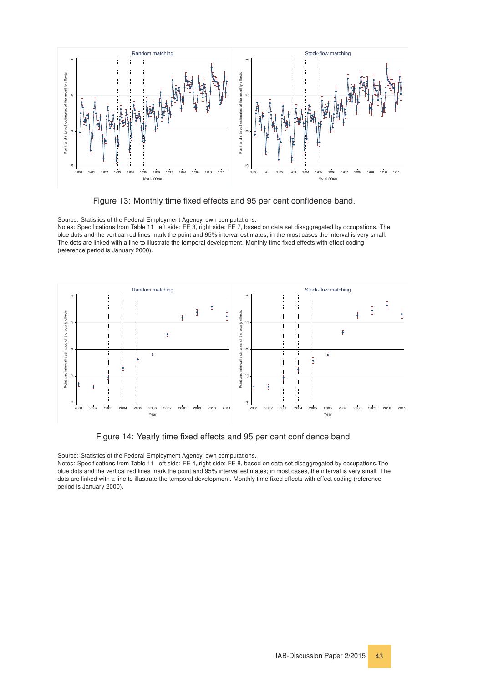<span id="page-42-0"></span>![](_page_42_Figure_0.jpeg)

Figure 13: Monthly time fixed effects and 95 per cent confidence band.

Source: Statistics of the Federal Employment Agency, own computations. Notes: Specifications from Table [11,](#page-41-0) left side: FE 3, right side: FE 7, based on data set disaggregated by occupations. The blue dots and the vertical red lines mark the point and 95% interval estimates; in the most cases the interval is very small. The dots are linked with a line to illustrate the temporal development. Monthly time fixed effects with effect coding (reference period is January 2000).

<span id="page-42-1"></span>![](_page_42_Figure_3.jpeg)

Figure 14: Yearly time fixed effects and 95 per cent confidence band.

Source: Statistics of the Federal Employment Agency, own computations.

Notes: Specifications from Table [11,](#page-41-0) left side: FE 4, right side: FE 8, based on data set disaggregated by occupations.The blue dots and the vertical red lines mark the point and 95% interval estimates; in most cases, the interval is very small. The dots are linked with a line to illustrate the temporal development. Monthly time fixed effects with effect coding (reference period is January 2000).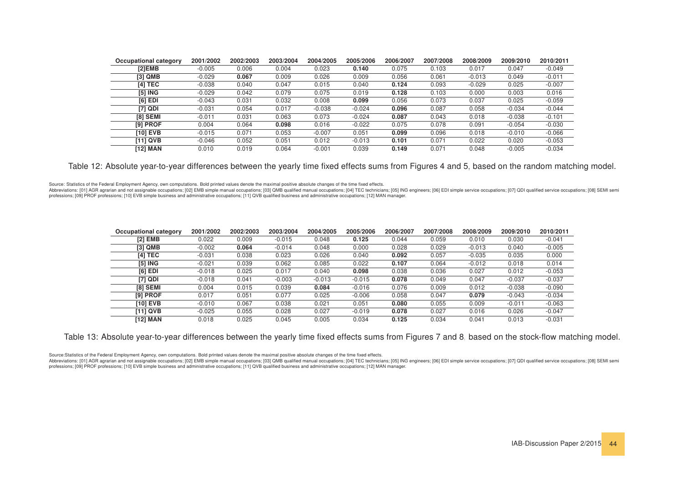| <b>Occupational category</b> | 2001/2002 | 2002/2003 | 2003/2004 | 2004/2005 | 2005/2006 | 2006/2007 | 2007/2008 | 2008/2009 | 2009/2010 | 2010/2011 |
|------------------------------|-----------|-----------|-----------|-----------|-----------|-----------|-----------|-----------|-----------|-----------|
| [2]EMB                       | $-0.005$  | 0.006     | 0.004     | 0.023     | 0.140     | 0.075     | 0.103     | 0.017     | 0.047     | $-0.049$  |
| [3] QMB                      | $-0.029$  | 0.067     | 0.009     | 0.026     | 0.009     | 0.056     | 0.061     | $-0.013$  | 0.049     | $-0.011$  |
| [4] TEC                      | $-0.038$  | 0.040     | 0.047     | 0.015     | 0.040     | 0.124     | 0.093     | $-0.029$  | 0.025     | $-0.007$  |
| [5] ING                      | $-0.029$  | 0.042     | 0.079     | 0.075     | 0.019     | 0.128     | 0.103     | 0.000     | 0.003     | 0.016     |
| $[6]$ EDI                    | $-0.043$  | 0.031     | 0.032     | 0.008     | 0.099     | 0.056     | 0.073     | 0.037     | 0.025     | $-0.059$  |
| [7] QDI                      | $-0.031$  | 0.054     | 0.017     | $-0.038$  | $-0.024$  | 0.096     | 0.087     | 0.058     | $-0.034$  | $-0.044$  |
| <b>[8] SEMI</b>              | $-0.011$  | 0.031     | 0.063     | 0.073     | $-0.024$  | 0.087     | 0.043     | 0.018     | $-0.038$  | $-0.101$  |
| [9] PROF                     | 0.004     | 0.064     | 0.098     | 0.016     | $-0.022$  | 0.075     | 0.078     | 0.091     | $-0.054$  | $-0.030$  |
| <b>[10] EVB</b>              | $-0.015$  | 0.071     | 0.053     | $-0.007$  | 0.051     | 0.099     | 0.096     | 0.018     | $-0.010$  | $-0.066$  |
| [11] QVB                     | $-0.046$  | 0.052     | 0.051     | 0.012     | $-0.013$  | 0.101     | 0.071     | 0.022     | 0.020     | $-0.053$  |
| [12] MAN                     | 0.010     | 0.019     | 0.064     | $-0.001$  | 0.039     | 0.149     | 0.071     | 0.048     | $-0.005$  | $-0.034$  |

Table 12: Absolute year-to-year differences between the yearly time fixed effects sums from Figures [4](#page-17-1) and [5,](#page-18-1) based on the random matching model.

Source: Statistics of the Federal Employment Agency, own computations. Bold printed values denote the maximal positive absolute changes of the time fixed effects.

Abbreviations: [01] AGR agrarian and not assignable occupations; [02] EMB simple manual occupations; [03] QMB qualified manual occupations; [04] TEC technicians; [05] IMG engineers; [06] EDI simple service occupations; [07 professions; [09] PROF professions; [10] EVB simple business and administrative occupations; [11] QVB qualified business and administrative occupations; [12] MAN manager.

| Occupational category | 2001/2002 | 2002/2003 | 2003/2004 | 2004/2005 | 2005/2006 | 2006/2007 | 2007/2008 | 2008/2009 | 2009/2010 | 2010/2011 |
|-----------------------|-----------|-----------|-----------|-----------|-----------|-----------|-----------|-----------|-----------|-----------|
| <b>[2] EMB</b>        | 0.022     | 0.009     | $-0.015$  | 0.048     | 0.125     | 0.044     | 0.059     | 0.010     | 0.030     | $-0.041$  |
| [3] QMB               | $-0.002$  | 0.064     | $-0.014$  | 0.048     | 0.000     | 0.028     | 0.029     | $-0.013$  | 0.040     | $-0.005$  |
| [4] TEC               | $-0.031$  | 0.038     | 0.023     | 0.026     | 0.040     | 0.092     | 0.057     | $-0.035$  | 0.035     | 0.000     |
| [5] ING               | $-0.021$  | 0.039     | 0.062     | 0.085     | 0.022     | 0.107     | 0.064     | $-0.012$  | 0.018     | 0.014     |
| $[6]$ EDI             | $-0.018$  | 0.025     | 0.017     | 0.040     | 0.098     | 0.038     | 0.036     | 0.027     | 0.012     | $-0.053$  |
| [7] QDI               | $-0.018$  | 0.041     | $-0.003$  | $-0.013$  | $-0.015$  | 0.078     | 0.049     | 0.047     | $-0.037$  | $-0.037$  |
| <b>[8] SEMI</b>       | 0.004     | 0.015     | 0.039     | 0.084     | $-0.016$  | 0.076     | 0.009     | 0.012     | $-0.038$  | $-0.090$  |
| [9] PROF              | 0.017     | 0.051     | 0.077     | 0.025     | $-0.006$  | 0.058     | 0.047     | 0.079     | $-0.043$  | $-0.034$  |
| <b>[10] EVB</b>       | $-0.010$  | 0.067     | 0.038     | 0.021     | 0.051     | 0.080     | 0.055     | 0.009     | $-0.011$  | $-0.063$  |
| [11] QVB              | $-0.025$  | 0.055     | 0.028     | 0.027     | $-0.019$  | 0.078     | 0.027     | 0.016     | 0.026     | $-0.047$  |
| [12] MAN              | 0.018     | 0.025     | 0.045     | 0.005     | 0.034     | 0.125     | 0.034     | 0.041     | 0.013     | $-0.031$  |

Table 13: Absolute year-to-year differences between the yearly time fixed effects sums from Figures [7](#page-24-1) and [8,](#page-25-1) based on the stock-flow matching model.

Source:Statistics of the Federal Employment Agency, own computations. Bold printed values denote the maximal positive absolute changes of the time fixed effects.

<span id="page-43-1"></span><span id="page-43-0"></span>Abbreviations: [01] AGR agrarian and not assignable occupations; [02] EMB simple manual occupations; [03] QMB qualified manual occupations: [04] TEC technicians; [05] ING engineers; [06] EDI simple service occupations; [07 professions; [09] PROF professions; [10] EVB simple business and administrative occupations; [11] QVB qualified business and administrative occupations; [12] MAN manager.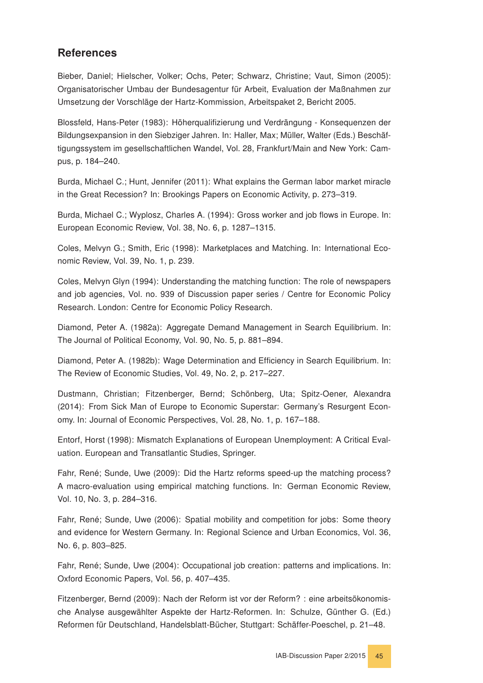# References

<span id="page-44-6"></span>Bieber, Daniel; Hielscher, Volker; Ochs, Peter; Schwarz, Christine; Vaut, Simon (2005): Organisatorischer Umbau der Bundesagentur für Arbeit, Evaluation der Maßnahmen zur Umsetzung der Vorschläge der Hartz-Kommission, Arbeitspaket 2, Bericht 2005.

<span id="page-44-5"></span>Blossfeld, Hans-Peter (1983): Höherqualifizierung und Verdrängung - Konsequenzen der Bildungsexpansion in den Siebziger Jahren. In: Haller, Max; Müller, Walter (Eds.) Beschäftigungssystem im gesellschaftlichen Wandel, Vol. 28, Frankfurt/Main and New York: Campus, p. 184–240.

<span id="page-44-1"></span>Burda, Michael C.; Hunt, Jennifer (2011): What explains the German labor market miracle in the Great Recession? In: Brookings Papers on Economic Activity, p. 273–319.

<span id="page-44-9"></span>Burda, Michael C.; Wyplosz, Charles A. (1994): Gross worker and job flows in Europe. In: European Economic Review, Vol. 38, No. 6, p. 1287–1315.

<span id="page-44-13"></span>Coles, Melvyn G.; Smith, Eric (1998): Marketplaces and Matching. In: International Economic Review, Vol. 39, No. 1, p. 239.

<span id="page-44-12"></span>Coles, Melvyn Glyn (1994): Understanding the matching function: The role of newspapers and job agencies, Vol. no. 939 of Discussion paper series / Centre for Economic Policy Research. London: Centre for Economic Policy Research.

<span id="page-44-8"></span>Diamond, Peter A. (1982a): Aggregate Demand Management in Search Equilibrium. In: The Journal of Political Economy, Vol. 90, No. 5, p. 881–894.

<span id="page-44-7"></span>Diamond, Peter A. (1982b): Wage Determination and Efficiency in Search Equilibrium. In: The Review of Economic Studies, Vol. 49, No. 2, p. 217–227.

<span id="page-44-0"></span>Dustmann, Christian; Fitzenberger, Bernd; Schönberg, Uta; Spitz-Oener, Alexandra (2014): From Sick Man of Europe to Economic Superstar: Germany's Resurgent Economy. In: Journal of Economic Perspectives, Vol. 28, No. 1, p. 167–188.

<span id="page-44-10"></span>Entorf, Horst (1998): Mismatch Explanations of European Unemployment: A Critical Evaluation. European and Transatlantic Studies, Springer.

<span id="page-44-3"></span>Fahr, René; Sunde, Uwe (2009): Did the Hartz reforms speed-up the matching process? A macro-evaluation using empirical matching functions. In: German Economic Review, Vol. 10, No. 3, p. 284–316.

<span id="page-44-4"></span>Fahr, René; Sunde, Uwe (2006): Spatial mobility and competition for jobs: Some theory and evidence for Western Germany. In: Regional Science and Urban Economics, Vol. 36, No. 6, p. 803–825.

<span id="page-44-11"></span>Fahr, René; Sunde, Uwe (2004): Occupational job creation: patterns and implications. In: Oxford Economic Papers, Vol. 56, p. 407–435.

<span id="page-44-2"></span>Fitzenberger, Bernd (2009): Nach der Reform ist vor der Reform? : eine arbeitsökonomische Analyse ausgewählter Aspekte der Hartz-Reformen. In: Schulze, Günther G. (Ed.) Reformen für Deutschland, Handelsblatt-Bücher, Stuttgart: Schäffer-Poeschel, p. 21–48.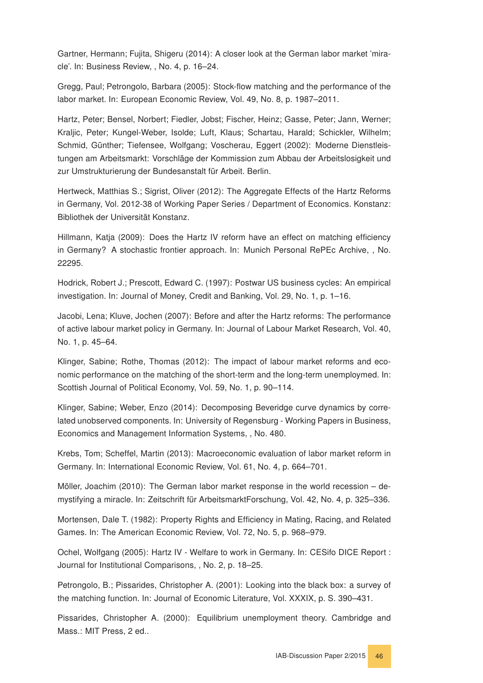<span id="page-45-0"></span>Gartner, Hermann; Fujita, Shigeru (2014): A closer look at the German labor market 'miracle'. In: Business Review, , No. 4, p. 16–24.

<span id="page-45-14"></span>Gregg, Paul; Petrongolo, Barbara (2005): Stock-flow matching and the performance of the labor market. In: European Economic Review, Vol. 49, No. 8, p. 1987–2011.

<span id="page-45-4"></span>Hartz, Peter; Bensel, Norbert; Fiedler, Jobst; Fischer, Heinz; Gasse, Peter; Jann, Werner; Kraljic, Peter; Kungel-Weber, Isolde; Luft, Klaus; Schartau, Harald; Schickler, Wilhelm; Schmid, Günther; Tiefensee, Wolfgang; Voscherau, Eggert (2002): Moderne Dienstleistungen am Arbeitsmarkt: Vorschläge der Kommission zum Abbau der Arbeitslosigkeit und zur Umstrukturierung der Bundesanstalt für Arbeit. Berlin.

<span id="page-45-2"></span>Hertweck, Matthias S.; Sigrist, Oliver (2012): The Aggregate Effects of the Hartz Reforms in Germany, Vol. 2012-38 of Working Paper Series / Department of Economics. Konstanz: Bibliothek der Universität Konstanz.

<span id="page-45-6"></span>Hillmann, Katja (2009): Does the Hartz IV reform have an effect on matching efficiency in Germany? A stochastic frontier approach. In: Munich Personal RePEc Archive, , No. 22295.

<span id="page-45-13"></span>Hodrick, Robert J.; Prescott, Edward C. (1997): Postwar US business cycles: An empirical investigation. In: Journal of Money, Credit and Banking, Vol. 29, No. 1, p. 1–16.

<span id="page-45-9"></span>Jacobi, Lena; Kluve, Jochen (2007): Before and after the Hartz reforms: The performance of active labour market policy in Germany. In: Journal of Labour Market Research, Vol. 40, No. 1, p. 45–64.

<span id="page-45-5"></span>Klinger, Sabine; Rothe, Thomas (2012): The impact of labour market reforms and economic performance on the matching of the short-term and the long-term unemploymed. In: Scottish Journal of Political Economy, Vol. 59, No. 1, p. 90–114.

<span id="page-45-7"></span>Klinger, Sabine; Weber, Enzo (2014): Decomposing Beveridge curve dynamics by correlated unobserved components. In: University of Regensburg - Working Papers in Business, Economics and Management Information Systems, , No. 480.

<span id="page-45-1"></span>Krebs, Tom; Scheffel, Martin (2013): Macroeconomic evaluation of labor market reform in Germany. In: International Economic Review, Vol. 61, No. 4, p. 664–701.

<span id="page-45-3"></span>Möller, Joachim (2010): The German labor market response in the world recession – demystifying a miracle. In: Zeitschrift für ArbeitsmarktForschung, Vol. 42, No. 4, p. 325–336.

<span id="page-45-10"></span>Mortensen, Dale T. (1982): Property Rights and Efficiency in Mating, Racing, and Related Games. In: The American Economic Review, Vol. 72, No. 5, p. 968–979.

<span id="page-45-8"></span>Ochel, Wolfgang (2005): Hartz IV - Welfare to work in Germany. In: CESifo DICE Report : Journal for Institutional Comparisons, , No. 2, p. 18–25.

<span id="page-45-12"></span>Petrongolo, B.; Pissarides, Christopher A. (2001): Looking into the black box: a survey of the matching function. In: Journal of Economic Literature, Vol. XXXIX, p. S. 390–431.

<span id="page-45-11"></span>Pissarides, Christopher A. (2000): Equilibrium unemployment theory. Cambridge and Mass.: MIT Press, 2 ed..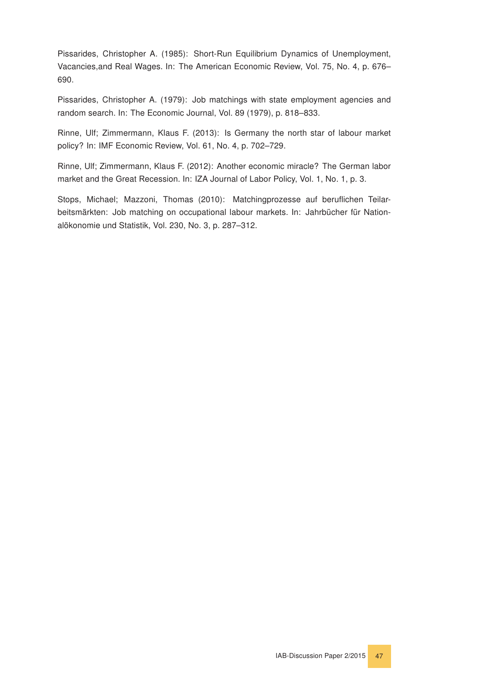<span id="page-46-4"></span>Pissarides, Christopher A. (1985): Short-Run Equilibrium Dynamics of Unemployment, Vacancies,and Real Wages. In: The American Economic Review, Vol. 75, No. 4, p. 676– 690.

<span id="page-46-3"></span>Pissarides, Christopher A. (1979): Job matchings with state employment agencies and random search. In: The Economic Journal, Vol. 89 (1979), p. 818–833.

<span id="page-46-0"></span>Rinne, Ulf; Zimmermann, Klaus F. (2013): Is Germany the north star of labour market policy? In: IMF Economic Review, Vol. 61, No. 4, p. 702–729.

<span id="page-46-1"></span>Rinne, Ulf; Zimmermann, Klaus F. (2012): Another economic miracle? The German labor market and the Great Recession. In: IZA Journal of Labor Policy, Vol. 1, No. 1, p. 3.

<span id="page-46-2"></span>Stops, Michael; Mazzoni, Thomas (2010): Matchingprozesse auf beruflichen Teilarbeitsmärkten: Job matching on occupational labour markets. In: Jahrbücher für Nationalökonomie und Statistik, Vol. 230, No. 3, p. 287–312.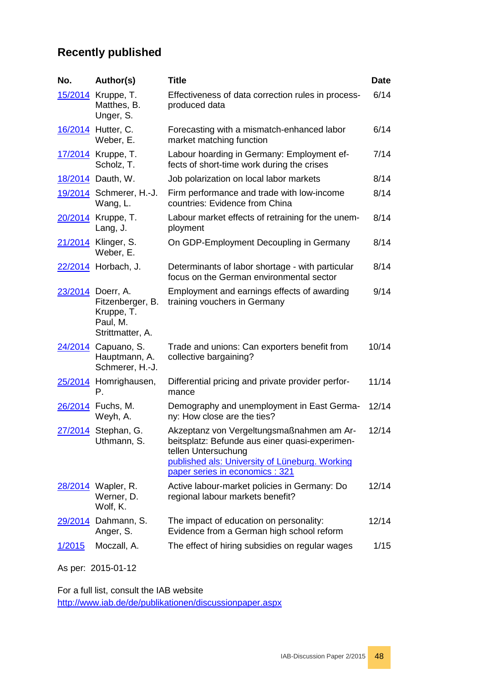# **Recently published**

| No.                | Author(s)                                                                           | <b>Title</b>                                                                                                                                                                                            | <b>Date</b> |
|--------------------|-------------------------------------------------------------------------------------|---------------------------------------------------------------------------------------------------------------------------------------------------------------------------------------------------------|-------------|
|                    | 15/2014 Kruppe, T.<br>Matthes, B.<br>Unger, S.                                      | Effectiveness of data correction rules in process-<br>produced data                                                                                                                                     | 6/14        |
|                    | 16/2014 Hutter, C.<br>Weber, E.                                                     | Forecasting with a mismatch-enhanced labor<br>market matching function                                                                                                                                  | 6/14        |
|                    | 17/2014 Kruppe, T.<br>Scholz, T.                                                    | Labour hoarding in Germany: Employment ef-<br>fects of short-time work during the crises                                                                                                                | 7/14        |
|                    | 18/2014 Dauth, W.                                                                   | Job polarization on local labor markets                                                                                                                                                                 | 8/14        |
|                    | 19/2014 Schmerer, H.-J.<br>Wang, L.                                                 | Firm performance and trade with low-income<br>countries: Evidence from China                                                                                                                            | 8/14        |
|                    | 20/2014 Kruppe, T.<br>Lang, J.                                                      | Labour market effects of retraining for the unem-<br>ployment                                                                                                                                           | 8/14        |
|                    | 21/2014 Klinger, S.<br>Weber, E.                                                    | On GDP-Employment Decoupling in Germany                                                                                                                                                                 | 8/14        |
|                    | 22/2014 Horbach, J.                                                                 | Determinants of labor shortage - with particular<br>focus on the German environmental sector                                                                                                            | 8/14        |
|                    | 23/2014 Doerr, A.<br>Fitzenberger, B.<br>Kruppe, T.<br>Paul, M.<br>Strittmatter, A. | Employment and earnings effects of awarding<br>training vouchers in Germany                                                                                                                             | 9/14        |
|                    | 24/2014 Capuano, S.<br>Hauptmann, A.<br>Schmerer, H.-J.                             | Trade and unions: Can exporters benefit from<br>collective bargaining?                                                                                                                                  | 10/14       |
| <u>25/2014</u>     | Homrighausen,<br>Р.                                                                 | Differential pricing and private provider perfor-<br>mance                                                                                                                                              | 11/14       |
|                    | 26/2014 Fuchs, M.<br>Weyh, A.                                                       | Demography and unemployment in East Germa-<br>ny: How close are the ties?                                                                                                                               | 12/14       |
|                    | 27/2014 Stephan, G.<br>Uthmann, S.                                                  | Akzeptanz von Vergeltungsmaßnahmen am Ar-<br>beitsplatz: Befunde aus einer quasi-experimen-<br>tellen Untersuchung<br>published als: University of Lüneburg. Working<br>paper series in economics : 321 | 12/14       |
|                    | 28/2014 Wapler, R.<br>Werner, D.<br>Wolf, K.                                        | Active labour-market policies in Germany: Do<br>regional labour markets benefit?                                                                                                                        | 12/14       |
| <u>29/2014</u>     | Dahmann, S.<br>Anger, S.                                                            | The impact of education on personality:<br>Evidence from a German high school reform                                                                                                                    | 12/14       |
| 1/2015             | Moczall, A.                                                                         | The effect of hiring subsidies on regular wages                                                                                                                                                         | 1/15        |
| As per: 2015-01-12 |                                                                                     |                                                                                                                                                                                                         |             |

For a full list, consult the IAB website <http://www.iab.de/de/publikationen/discussionpaper.aspx>